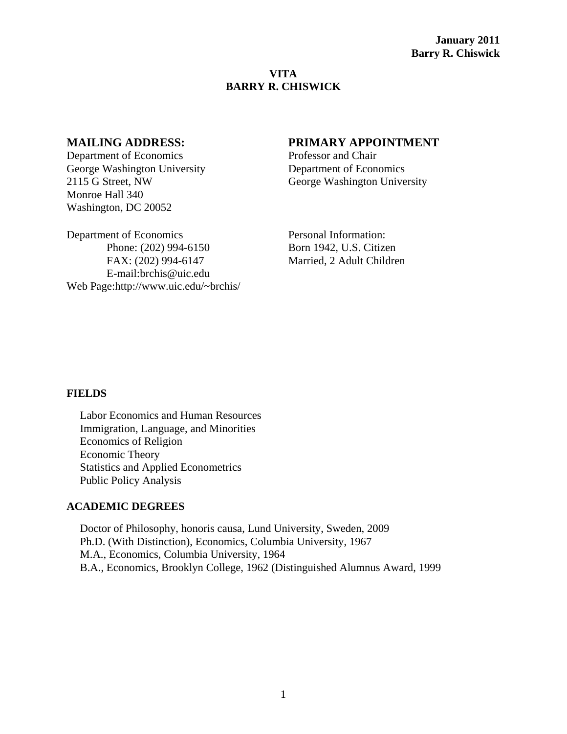## **VITA BARRY R. CHISWICK**

Department of Economics George Washington University 2115 G Street, NW Monroe Hall 340 Washington, DC 20052

# **MAILING ADDRESS: PRIMARY APPOINTMENT**

Professor and Chair Department of Economics George Washington University

Department of Economics Phone: (202) 994-6150 FAX: (202) 994-6147 E-mail:brchis@uic.edu Web Page:http://www.uic.edu/~brchis/

## Personal Information: Born 1942, U.S. Citizen Married, 2 Adult Children

# **FIELDS**

Labor Economics and Human Resources Immigration, Language, and Minorities Economics of Religion Economic Theory Statistics and Applied Econometrics Public Policy Analysis

## **ACADEMIC DEGREES**

Doctor of Philosophy, honoris causa, Lund University, Sweden, 2009 Ph.D. (With Distinction), Economics, Columbia University, 1967 M.A., Economics, Columbia University, 1964 B.A., Economics, Brooklyn College, 1962 (Distinguished Alumnus Award, 1999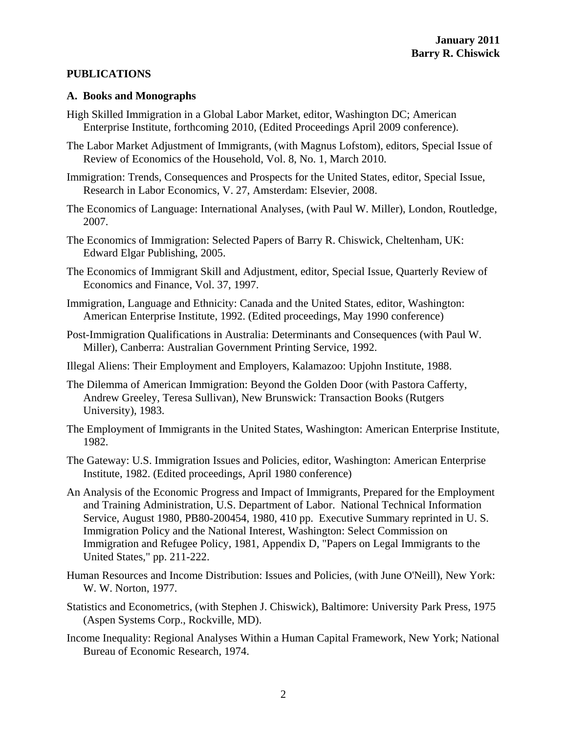## **PUBLICATIONS**

## **A. Books and Monographs**

- High Skilled Immigration in a Global Labor Market, editor, Washington DC; American Enterprise Institute, forthcoming 2010, (Edited Proceedings April 2009 conference).
- The Labor Market Adjustment of Immigrants, (with Magnus Lofstom), editors, Special Issue of Review of Economics of the Household, Vol. 8, No. 1, March 2010.
- Immigration: Trends, Consequences and Prospects for the United States, editor, Special Issue, Research in Labor Economics, V. 27, Amsterdam: Elsevier, 2008.
- The Economics of Language: International Analyses, (with Paul W. Miller), London, Routledge, 2007.
- The Economics of Immigration: Selected Papers of Barry R. Chiswick, Cheltenham, UK: Edward Elgar Publishing, 2005.
- The Economics of Immigrant Skill and Adjustment, editor, Special Issue, Quarterly Review of Economics and Finance, Vol. 37, 1997.
- Immigration, Language and Ethnicity: Canada and the United States, editor, Washington: American Enterprise Institute, 1992. (Edited proceedings, May 1990 conference)
- Post-Immigration Qualifications in Australia: Determinants and Consequences (with Paul W. Miller), Canberra: Australian Government Printing Service, 1992.
- Illegal Aliens: Their Employment and Employers, Kalamazoo: Upjohn Institute, 1988.
- The Dilemma of American Immigration: Beyond the Golden Door (with Pastora Cafferty, Andrew Greeley, Teresa Sullivan), New Brunswick: Transaction Books (Rutgers University), 1983.
- The Employment of Immigrants in the United States, Washington: American Enterprise Institute, 1982.
- The Gateway: U.S. Immigration Issues and Policies, editor, Washington: American Enterprise Institute, 1982. (Edited proceedings, April 1980 conference)
- An Analysis of the Economic Progress and Impact of Immigrants, Prepared for the Employment and Training Administration, U.S. Department of Labor. National Technical Information Service, August 1980, PB80-200454, 1980, 410 pp. Executive Summary reprinted in U. S. Immigration Policy and the National Interest, Washington: Select Commission on Immigration and Refugee Policy, 1981, Appendix D, "Papers on Legal Immigrants to the United States," pp. 211-222.
- Human Resources and Income Distribution: Issues and Policies, (with June O'Neill), New York: W. W. Norton, 1977.
- Statistics and Econometrics, (with Stephen J. Chiswick), Baltimore: University Park Press, 1975 (Aspen Systems Corp., Rockville, MD).
- Income Inequality: Regional Analyses Within a Human Capital Framework, New York; National Bureau of Economic Research, 1974.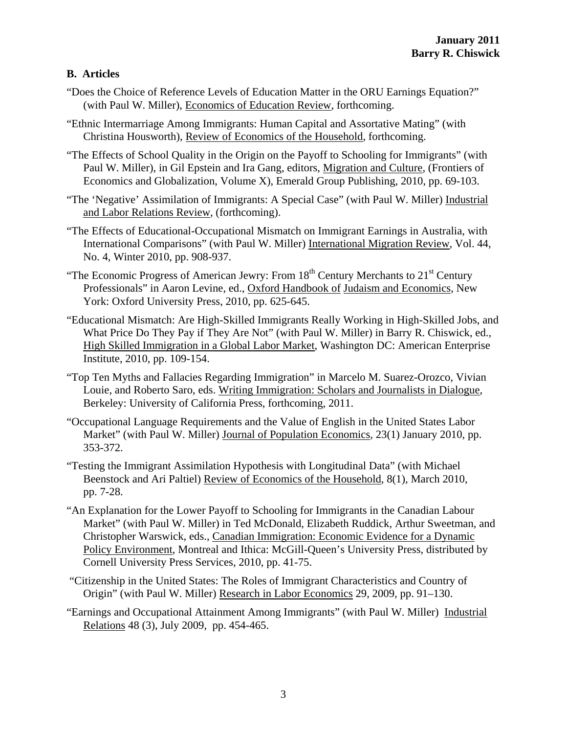# **B. Articles**

- "Does the Choice of Reference Levels of Education Matter in the ORU Earnings Equation?" (with Paul W. Miller), Economics of Education Review, forthcoming.
- "Ethnic Intermarriage Among Immigrants: Human Capital and Assortative Mating" (with Christina Housworth), Review of Economics of the Household, forthcoming.
- "The Effects of School Quality in the Origin on the Payoff to Schooling for Immigrants" (with Paul W. Miller), in Gil Epstein and Ira Gang, editors, Migration and Culture, (Frontiers of Economics and Globalization, Volume X), Emerald Group Publishing, 2010, pp. 69-103.
- "The 'Negative' Assimilation of Immigrants: A Special Case" (with Paul W. Miller) Industrial and Labor Relations Review, (forthcoming).
- "The Effects of Educational-Occupational Mismatch on Immigrant Earnings in Australia, with International Comparisons" (with Paul W. Miller) International Migration Review, Vol. 44, No. 4, Winter 2010, pp. 908-937.
- "The Economic Progress of American Jewry: From  $18<sup>th</sup>$  Century Merchants to  $21<sup>st</sup>$  Century Professionals" in Aaron Levine, ed., Oxford Handbook of Judaism and Economics, New York: Oxford University Press, 2010, pp. 625-645.
- "Educational Mismatch: Are High-Skilled Immigrants Really Working in High-Skilled Jobs, and What Price Do They Pay if They Are Not" (with Paul W. Miller) in Barry R. Chiswick, ed., High Skilled Immigration in a Global Labor Market, Washington DC: American Enterprise Institute, 2010, pp. 109-154.
- "Top Ten Myths and Fallacies Regarding Immigration" in Marcelo M. Suarez-Orozco, Vivian Louie, and Roberto Saro, eds. Writing Immigration: Scholars and Journalists in Dialogue, Berkeley: University of California Press, forthcoming, 2011.
- "Occupational Language Requirements and the Value of English in the United States Labor Market" (with Paul W. Miller) Journal of Population Economics, 23(1) January 2010, pp. 353-372.
- "Testing the Immigrant Assimilation Hypothesis with Longitudinal Data" (with Michael Beenstock and Ari Paltiel) Review of Economics of the Household, 8(1), March 2010, pp. 7-28.
- "An Explanation for the Lower Payoff to Schooling for Immigrants in the Canadian Labour Market" (with Paul W. Miller) in Ted McDonald, Elizabeth Ruddick, Arthur Sweetman, and Christopher Warswick, eds., Canadian Immigration: Economic Evidence for a Dynamic Policy Environment, Montreal and Ithica: McGill-Queen's University Press, distributed by Cornell University Press Services, 2010, pp. 41-75.
- "Citizenship in the United States: The Roles of Immigrant Characteristics and Country of Origin" (with Paul W. Miller) Research in Labor Economics 29, 2009, pp. 91–130.
- "Earnings and Occupational Attainment Among Immigrants" (with Paul W. Miller) Industrial Relations 48 (3), July 2009, pp. 454-465.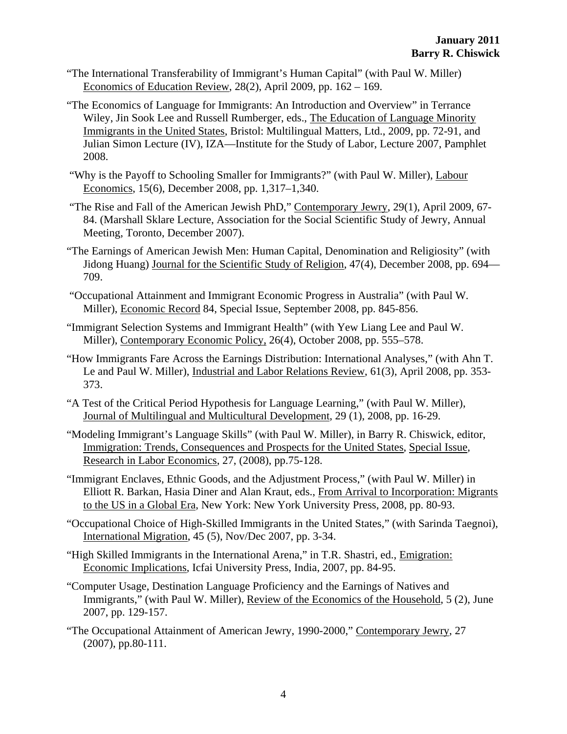- "The International Transferability of Immigrant's Human Capital" (with Paul W. Miller) Economics of Education Review, 28(2), April 2009, pp. 162 – 169.
- "The Economics of Language for Immigrants: An Introduction and Overview" in Terrance Wiley, Jin Sook Lee and Russell Rumberger, eds., The Education of Language Minority Immigrants in the United States, Bristol: Multilingual Matters, Ltd., 2009, pp. 72-91, and Julian Simon Lecture (IV), IZA—Institute for the Study of Labor, Lecture 2007, Pamphlet 2008.
- "Why is the Payoff to Schooling Smaller for Immigrants?" (with Paul W. Miller), Labour Economics, 15(6), December 2008, pp. 1,317–1,340.
- "The Rise and Fall of the American Jewish PhD," Contemporary Jewry, 29(1), April 2009, 67- 84. (Marshall Sklare Lecture, Association for the Social Scientific Study of Jewry, Annual Meeting, Toronto, December 2007).
- "The Earnings of American Jewish Men: Human Capital, Denomination and Religiosity" (with Jidong Huang) Journal for the Scientific Study of Religion, 47(4), December 2008, pp. 694— 709.
- "Occupational Attainment and Immigrant Economic Progress in Australia" (with Paul W. Miller), Economic Record 84, Special Issue, September 2008, pp. 845-856.
- "Immigrant Selection Systems and Immigrant Health" (with Yew Liang Lee and Paul W. Miller), Contemporary Economic Policy, 26(4), October 2008, pp. 555–578.
- "How Immigrants Fare Across the Earnings Distribution: International Analyses," (with Ahn T. Le and Paul W. Miller), Industrial and Labor Relations Review, 61(3), April 2008, pp. 353- 373.
- "A Test of the Critical Period Hypothesis for Language Learning," (with Paul W. Miller), Journal of Multilingual and Multicultural Development, 29 (1), 2008, pp. 16-29.
- "Modeling Immigrant's Language Skills" (with Paul W. Miller), in Barry R. Chiswick, editor, Immigration: Trends, Consequences and Prospects for the United States, Special Issue, Research in Labor Economics, 27, (2008), pp.75-128.
- "Immigrant Enclaves, Ethnic Goods, and the Adjustment Process," (with Paul W. Miller) in Elliott R. Barkan, Hasia Diner and Alan Kraut, eds., From Arrival to Incorporation: Migrants to the US in a Global Era, New York: New York University Press, 2008, pp. 80-93.
- "Occupational Choice of High-Skilled Immigrants in the United States," (with Sarinda Taegnoi), International Migration, 45 (5), Nov/Dec 2007, pp. 3-34.
- "High Skilled Immigrants in the International Arena," in T.R. Shastri, ed., Emigration: Economic Implications, Icfai University Press, India, 2007, pp. 84-95.
- "Computer Usage, Destination Language Proficiency and the Earnings of Natives and Immigrants," (with Paul W. Miller), Review of the Economics of the Household, 5 (2), June 2007, pp. 129-157.
- "The Occupational Attainment of American Jewry, 1990-2000," Contemporary Jewry, 27 (2007), pp.80-111.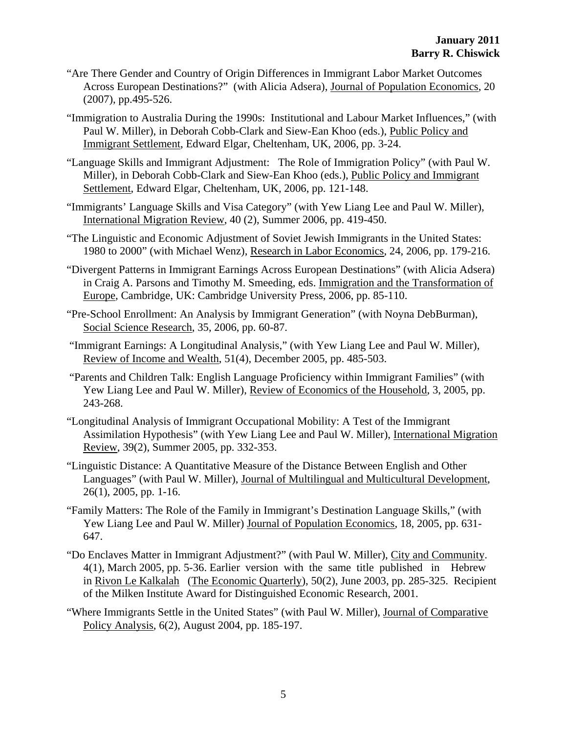- "Are There Gender and Country of Origin Differences in Immigrant Labor Market Outcomes Across European Destinations?" (with Alicia Adsera), Journal of Population Economics, 20 (2007), pp.495-526.
- "Immigration to Australia During the 1990s: Institutional and Labour Market Influences," (with Paul W. Miller), in Deborah Cobb-Clark and Siew-Ean Khoo (eds.), Public Policy and Immigrant Settlement, Edward Elgar, Cheltenham, UK, 2006, pp. 3-24.
- "Language Skills and Immigrant Adjustment: The Role of Immigration Policy" (with Paul W. Miller), in Deborah Cobb-Clark and Siew-Ean Khoo (eds.), Public Policy and Immigrant Settlement, Edward Elgar, Cheltenham, UK, 2006, pp. 121-148.
- "Immigrants' Language Skills and Visa Category" (with Yew Liang Lee and Paul W. Miller), International Migration Review, 40 (2), Summer 2006, pp. 419-450.
- "The Linguistic and Economic Adjustment of Soviet Jewish Immigrants in the United States: 1980 to 2000" (with Michael Wenz), Research in Labor Economics, 24, 2006, pp. 179-216.
- "Divergent Patterns in Immigrant Earnings Across European Destinations" (with Alicia Adsera) in Craig A. Parsons and Timothy M. Smeeding, eds. Immigration and the Transformation of Europe, Cambridge, UK: Cambridge University Press, 2006, pp. 85-110.
- "Pre-School Enrollment: An Analysis by Immigrant Generation" (with Noyna DebBurman), Social Science Research, 35, 2006, pp. 60-87.
- "Immigrant Earnings: A Longitudinal Analysis," (with Yew Liang Lee and Paul W. Miller), Review of Income and Wealth, 51(4), December 2005, pp. 485-503.
- "Parents and Children Talk: English Language Proficiency within Immigrant Families" (with Yew Liang Lee and Paul W. Miller), Review of Economics of the Household, 3, 2005, pp. 243-268.
- "Longitudinal Analysis of Immigrant Occupational Mobility: A Test of the Immigrant Assimilation Hypothesis" (with Yew Liang Lee and Paul W. Miller), International Migration Review, 39(2), Summer 2005, pp. 332-353.
- "Linguistic Distance: A Quantitative Measure of the Distance Between English and Other Languages" (with Paul W. Miller), Journal of Multilingual and Multicultural Development, 26(1), 2005, pp. 1-16.
- "Family Matters: The Role of the Family in Immigrant's Destination Language Skills," (with Yew Liang Lee and Paul W. Miller) Journal of Population Economics, 18, 2005, pp. 631- 647.
- "Do Enclaves Matter in Immigrant Adjustment?" (with Paul W. Miller), City and Community. 4(1), March 2005, pp. 5-36. Earlier version with the same title published in Hebrew in Rivon Le Kalkalah (The Economic Quarterly), 50(2), June 2003, pp. 285-325. Recipient of the Milken Institute Award for Distinguished Economic Research, 2001.
- "Where Immigrants Settle in the United States" (with Paul W. Miller), Journal of Comparative Policy Analysis, 6(2), August 2004, pp. 185-197.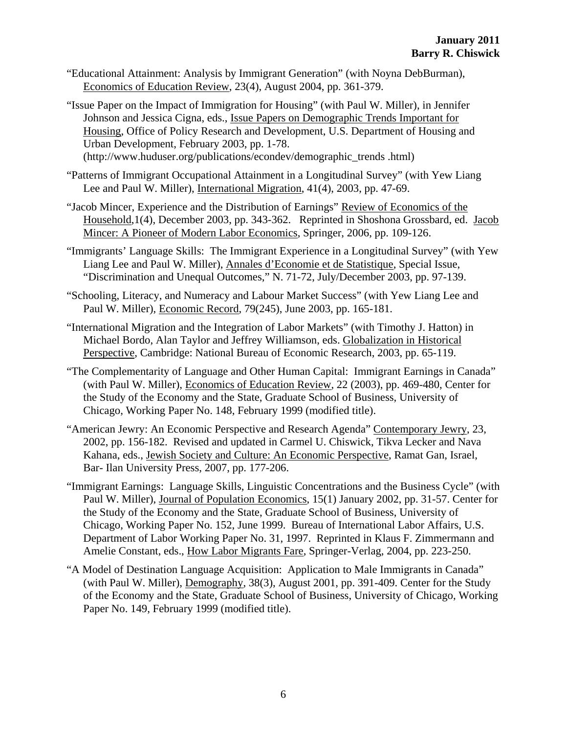- "Educational Attainment: Analysis by Immigrant Generation" (with Noyna DebBurman), Economics of Education Review, 23(4), August 2004, pp. 361-379.
- "Issue Paper on the Impact of Immigration for Housing" (with Paul W. Miller), in Jennifer Johnson and Jessica Cigna, eds., Issue Papers on Demographic Trends Important for Housing, Office of Policy Research and Development, U.S. Department of Housing and Urban Development, February 2003, pp. 1-78. (http://www.huduser.org/publications/econdev/demographic\_trends .html)
- "Patterns of Immigrant Occupational Attainment in a Longitudinal Survey" (with Yew Liang Lee and Paul W. Miller), International Migration, 41(4), 2003, pp. 47-69.
- "Jacob Mincer, Experience and the Distribution of Earnings" Review of Economics of the Household,1(4), December 2003, pp. 343-362. Reprinted in Shoshona Grossbard, ed. Jacob Mincer: A Pioneer of Modern Labor Economics, Springer, 2006, pp. 109-126.
- "Immigrants' Language Skills: The Immigrant Experience in a Longitudinal Survey" (with Yew Liang Lee and Paul W. Miller), Annales d'Economie et de Statistique, Special Issue, "Discrimination and Unequal Outcomes," N. 71-72, July/December 2003, pp. 97-139.
- "Schooling, Literacy, and Numeracy and Labour Market Success" (with Yew Liang Lee and Paul W. Miller), Economic Record, 79(245), June 2003, pp. 165-181.
- "International Migration and the Integration of Labor Markets" (with Timothy J. Hatton) in Michael Bordo, Alan Taylor and Jeffrey Williamson, eds. Globalization in Historical Perspective, Cambridge: National Bureau of Economic Research, 2003, pp. 65-119.
- "The Complementarity of Language and Other Human Capital: Immigrant Earnings in Canada" (with Paul W. Miller), Economics of Education Review, 22 (2003), pp. 469-480, Center for the Study of the Economy and the State, Graduate School of Business, University of Chicago, Working Paper No. 148, February 1999 (modified title).
- "American Jewry: An Economic Perspective and Research Agenda" Contemporary Jewry, 23, 2002, pp. 156-182. Revised and updated in Carmel U. Chiswick, Tikva Lecker and Nava Kahana, eds., Jewish Society and Culture: An Economic Perspective, Ramat Gan, Israel, Bar- Ilan University Press, 2007, pp. 177-206.
- "Immigrant Earnings: Language Skills, Linguistic Concentrations and the Business Cycle" (with Paul W. Miller), Journal of Population Economics, 15(1) January 2002, pp. 31-57. Center for the Study of the Economy and the State, Graduate School of Business, University of Chicago, Working Paper No. 152, June 1999. Bureau of International Labor Affairs, U.S. Department of Labor Working Paper No. 31, 1997. Reprinted in Klaus F. Zimmermann and Amelie Constant, eds., How Labor Migrants Fare, Springer-Verlag, 2004, pp. 223-250.
- "A Model of Destination Language Acquisition: Application to Male Immigrants in Canada" (with Paul W. Miller), Demography, 38(3), August 2001, pp. 391-409. Center for the Study of the Economy and the State, Graduate School of Business, University of Chicago, Working Paper No. 149, February 1999 (modified title).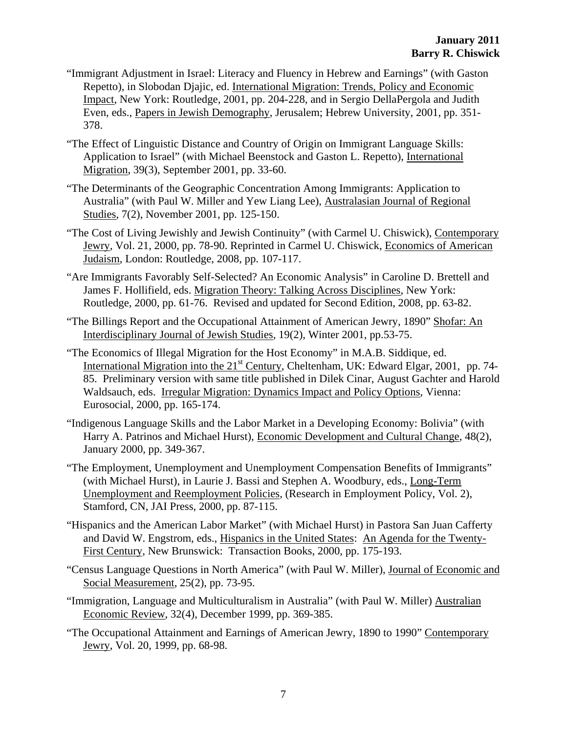- "Immigrant Adjustment in Israel: Literacy and Fluency in Hebrew and Earnings" (with Gaston Repetto), in Slobodan Djajic, ed. International Migration: Trends, Policy and Economic Impact, New York: Routledge, 2001, pp. 204-228, and in Sergio DellaPergola and Judith Even, eds., Papers in Jewish Demography, Jerusalem; Hebrew University, 2001, pp. 351- 378.
- "The Effect of Linguistic Distance and Country of Origin on Immigrant Language Skills: Application to Israel" (with Michael Beenstock and Gaston L. Repetto), International Migration, 39(3), September 2001, pp. 33-60.
- "The Determinants of the Geographic Concentration Among Immigrants: Application to Australia" (with Paul W. Miller and Yew Liang Lee), Australasian Journal of Regional Studies, 7(2), November 2001, pp. 125-150.
- "The Cost of Living Jewishly and Jewish Continuity" (with Carmel U. Chiswick), Contemporary Jewry, Vol. 21, 2000, pp. 78-90. Reprinted in Carmel U. Chiswick, Economics of American Judaism, London: Routledge, 2008, pp. 107-117.
- "Are Immigrants Favorably Self-Selected? An Economic Analysis" in Caroline D. Brettell and James F. Hollifield, eds. Migration Theory: Talking Across Disciplines, New York: Routledge, 2000, pp. 61-76. Revised and updated for Second Edition, 2008, pp. 63-82.
- "The Billings Report and the Occupational Attainment of American Jewry, 1890" Shofar: An Interdisciplinary Journal of Jewish Studies, 19(2), Winter 2001, pp.53-75.
- "The Economics of Illegal Migration for the Host Economy" in M.A.B. Siddique, ed. International Migration into the  $21<sup>st</sup>$  Century, Cheltenham, UK: Edward Elgar, 2001, pp. 74-85. Preliminary version with same title published in Dilek Cinar, August Gachter and Harold Waldsauch, eds. Irregular Migration: Dynamics Impact and Policy Options, Vienna: Eurosocial, 2000, pp. 165-174.
- "Indigenous Language Skills and the Labor Market in a Developing Economy: Bolivia" (with Harry A. Patrinos and Michael Hurst), Economic Development and Cultural Change, 48(2), January 2000, pp. 349-367.
- "The Employment, Unemployment and Unemployment Compensation Benefits of Immigrants" (with Michael Hurst), in Laurie J. Bassi and Stephen A. Woodbury, eds., Long-Term Unemployment and Reemployment Policies, (Research in Employment Policy, Vol. 2), Stamford, CN, JAI Press, 2000, pp. 87-115.
- "Hispanics and the American Labor Market" (with Michael Hurst) in Pastora San Juan Cafferty and David W. Engstrom, eds., Hispanics in the United States: An Agenda for the Twenty-First Century, New Brunswick: Transaction Books, 2000, pp. 175-193.
- "Census Language Questions in North America" (with Paul W. Miller), Journal of Economic and Social Measurement, 25(2), pp. 73-95.
- "Immigration, Language and Multiculturalism in Australia" (with Paul W. Miller) Australian Economic Review, 32(4), December 1999, pp. 369-385.
- "The Occupational Attainment and Earnings of American Jewry, 1890 to 1990" Contemporary Jewry, Vol. 20, 1999, pp. 68-98.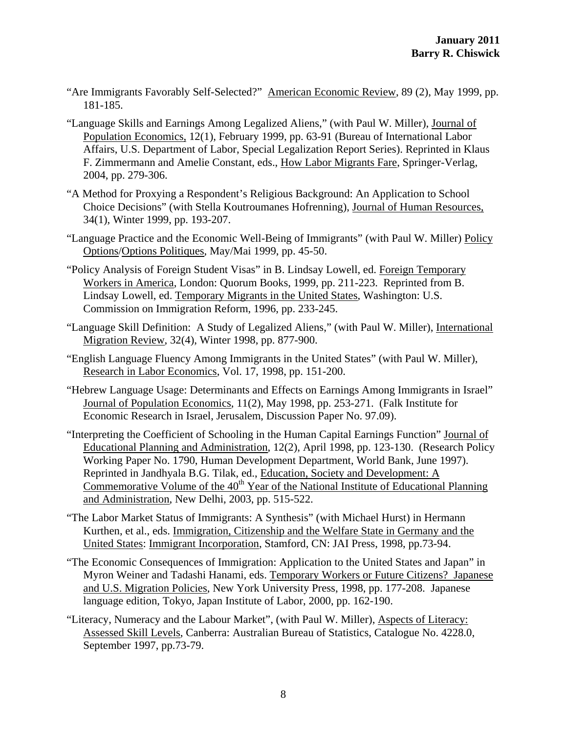- "Are Immigrants Favorably Self-Selected?" American Economic Review, 89 (2), May 1999, pp. 181-185.
- "Language Skills and Earnings Among Legalized Aliens," (with Paul W. Miller), Journal of Population Economics, 12(1), February 1999, pp. 63-91 (Bureau of International Labor Affairs, U.S. Department of Labor, Special Legalization Report Series). Reprinted in Klaus F. Zimmermann and Amelie Constant, eds., How Labor Migrants Fare, Springer-Verlag, 2004, pp. 279-306.
- "A Method for Proxying a Respondent's Religious Background: An Application to School Choice Decisions" (with Stella Koutroumanes Hofrenning), Journal of Human Resources, 34(1), Winter 1999, pp. 193-207.
- "Language Practice and the Economic Well-Being of Immigrants" (with Paul W. Miller) Policy Options/Options Politiques, May/Mai 1999, pp. 45-50.
- "Policy Analysis of Foreign Student Visas" in B. Lindsay Lowell, ed. Foreign Temporary Workers in America, London: Quorum Books, 1999, pp. 211-223. Reprinted from B. Lindsay Lowell, ed. Temporary Migrants in the United States, Washington: U.S. Commission on Immigration Reform, 1996, pp. 233-245.
- "Language Skill Definition: A Study of Legalized Aliens," (with Paul W. Miller), International Migration Review, 32(4), Winter 1998, pp. 877-900.
- "English Language Fluency Among Immigrants in the United States" (with Paul W. Miller), Research in Labor Economics, Vol. 17, 1998, pp. 151-200.
- "Hebrew Language Usage: Determinants and Effects on Earnings Among Immigrants in Israel" Journal of Population Economics, 11(2), May 1998, pp. 253-271. (Falk Institute for Economic Research in Israel, Jerusalem, Discussion Paper No. 97.09).
- "Interpreting the Coefficient of Schooling in the Human Capital Earnings Function" Journal of Educational Planning and Administration, 12(2), April 1998, pp. 123-130. (Research Policy Working Paper No. 1790, Human Development Department, World Bank, June 1997). Reprinted in Jandhyala B.G. Tilak, ed., Education, Society and Development: A Commemorative Volume of the  $40<sup>th</sup>$  Year of the National Institute of Educational Planning and Administration, New Delhi, 2003, pp. 515-522.
- "The Labor Market Status of Immigrants: A Synthesis" (with Michael Hurst) in Hermann Kurthen, et al., eds. Immigration, Citizenship and the Welfare State in Germany and the United States: Immigrant Incorporation, Stamford, CN: JAI Press, 1998, pp.73-94.
- "The Economic Consequences of Immigration: Application to the United States and Japan" in Myron Weiner and Tadashi Hanami, eds. Temporary Workers or Future Citizens? Japanese and U.S. Migration Policies, New York University Press, 1998, pp. 177-208. Japanese language edition, Tokyo, Japan Institute of Labor, 2000, pp. 162-190.
- "Literacy, Numeracy and the Labour Market", (with Paul W. Miller), Aspects of Literacy: Assessed Skill Levels, Canberra: Australian Bureau of Statistics, Catalogue No. 4228.0, September 1997, pp.73-79.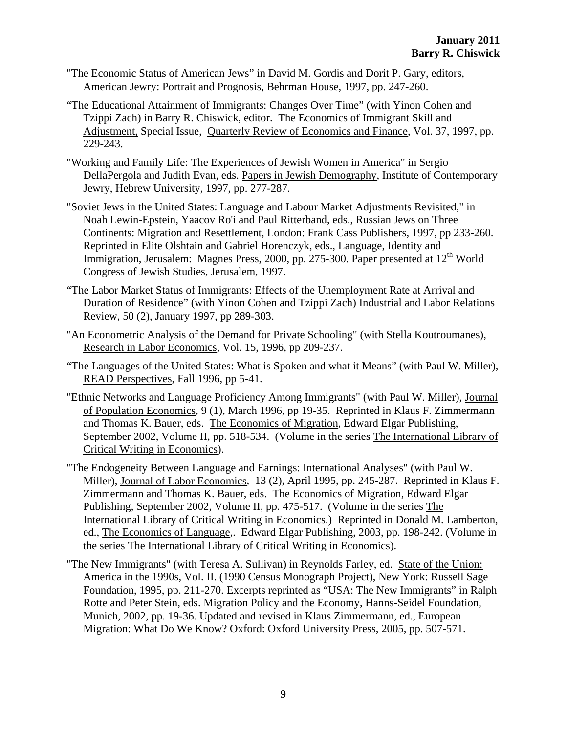- "The Economic Status of American Jews" in David M. Gordis and Dorit P. Gary, editors, American Jewry: Portrait and Prognosis, Behrman House, 1997, pp. 247-260.
- "The Educational Attainment of Immigrants: Changes Over Time" (with Yinon Cohen and Tzippi Zach) in Barry R. Chiswick, editor. The Economics of Immigrant Skill and Adjustment, Special Issue, Quarterly Review of Economics and Finance, Vol. 37, 1997, pp. 229-243.
- "Working and Family Life: The Experiences of Jewish Women in America" in Sergio DellaPergola and Judith Evan, eds. Papers in Jewish Demography, Institute of Contemporary Jewry, Hebrew University, 1997, pp. 277-287.
- "Soviet Jews in the United States: Language and Labour Market Adjustments Revisited," in Noah Lewin-Epstein, Yaacov Ro'i and Paul Ritterband, eds., Russian Jews on Three Continents: Migration and Resettlement, London: Frank Cass Publishers, 1997, pp 233-260. Reprinted in Elite Olshtain and Gabriel Horenczyk, eds., Language, Identity and Immigration, Jerusalem: Magnes Press, 2000, pp. 275-300. Paper presented at  $12<sup>th</sup>$  World Congress of Jewish Studies, Jerusalem, 1997.
- "The Labor Market Status of Immigrants: Effects of the Unemployment Rate at Arrival and Duration of Residence" (with Yinon Cohen and Tzippi Zach) Industrial and Labor Relations Review, 50 (2), January 1997, pp 289-303.
- "An Econometric Analysis of the Demand for Private Schooling" (with Stella Koutroumanes), Research in Labor Economics, Vol. 15, 1996, pp 209-237.
- "The Languages of the United States: What is Spoken and what it Means" (with Paul W. Miller), READ Perspectives, Fall 1996, pp 5-41.
- "Ethnic Networks and Language Proficiency Among Immigrants" (with Paul W. Miller), Journal of Population Economics, 9 (1), March 1996, pp 19-35. Reprinted in Klaus F. Zimmermann and Thomas K. Bauer, eds. The Economics of Migration, Edward Elgar Publishing, September 2002, Volume II, pp. 518-534. (Volume in the series The International Library of Critical Writing in Economics).
- "The Endogeneity Between Language and Earnings: International Analyses" (with Paul W. Miller), Journal of Labor Economics, 13 (2), April 1995, pp. 245-287. Reprinted in Klaus F. Zimmermann and Thomas K. Bauer, eds. The Economics of Migration, Edward Elgar Publishing, September 2002, Volume II, pp. 475-517. (Volume in the series The International Library of Critical Writing in Economics.) Reprinted in Donald M. Lamberton, ed., The Economics of Language,. Edward Elgar Publishing, 2003, pp. 198-242. (Volume in the series The International Library of Critical Writing in Economics).
- "The New Immigrants" (with Teresa A. Sullivan) in Reynolds Farley, ed. State of the Union: America in the 1990s, Vol. II. (1990 Census Monograph Project), New York: Russell Sage Foundation, 1995, pp. 211-270. Excerpts reprinted as "USA: The New Immigrants" in Ralph Rotte and Peter Stein, eds. Migration Policy and the Economy, Hanns-Seidel Foundation, Munich, 2002, pp. 19-36. Updated and revised in Klaus Zimmermann, ed., European Migration: What Do We Know? Oxford: Oxford University Press, 2005, pp. 507-571.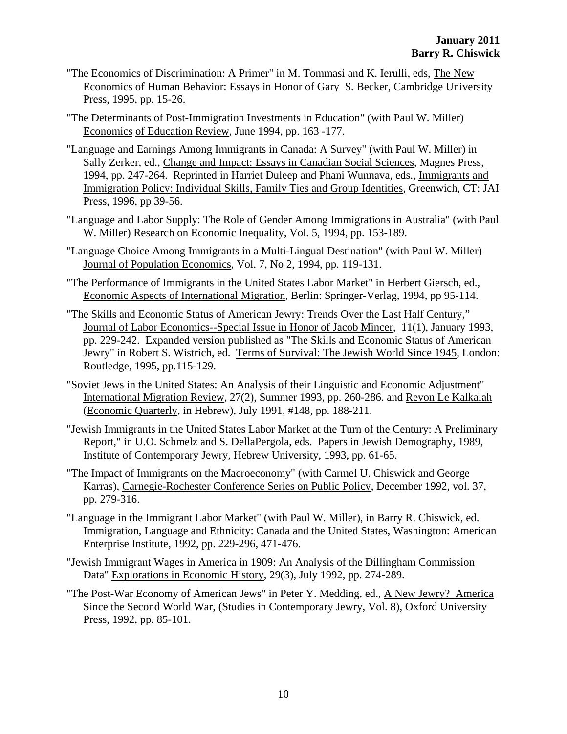- "The Economics of Discrimination: A Primer" in M. Tommasi and K. Ierulli, eds, The New Economics of Human Behavior: Essays in Honor of Gary S. Becker, Cambridge University Press, 1995, pp. 15-26.
- "The Determinants of Post-Immigration Investments in Education" (with Paul W. Miller) Economics of Education Review, June 1994, pp. 163 -177.
- "Language and Earnings Among Immigrants in Canada: A Survey" (with Paul W. Miller) in Sally Zerker, ed., Change and Impact: Essays in Canadian Social Sciences, Magnes Press, 1994, pp. 247-264. Reprinted in Harriet Duleep and Phani Wunnava, eds., Immigrants and Immigration Policy: Individual Skills, Family Ties and Group Identities, Greenwich, CT: JAI Press, 1996, pp 39-56.
- "Language and Labor Supply: The Role of Gender Among Immigrations in Australia" (with Paul W. Miller) Research on Economic Inequality, Vol. 5, 1994, pp. 153-189.
- "Language Choice Among Immigrants in a Multi-Lingual Destination" (with Paul W. Miller) Journal of Population Economics, Vol. 7, No 2, 1994, pp. 119-131.
- "The Performance of Immigrants in the United States Labor Market" in Herbert Giersch, ed., Economic Aspects of International Migration, Berlin: Springer-Verlag, 1994, pp 95-114.
- "The Skills and Economic Status of American Jewry: Trends Over the Last Half Century," Journal of Labor Economics--Special Issue in Honor of Jacob Mincer, 11(1), January 1993, pp. 229-242. Expanded version published as "The Skills and Economic Status of American Jewry" in Robert S. Wistrich, ed. Terms of Survival: The Jewish World Since 1945, London: Routledge, 1995, pp.115-129.
- "Soviet Jews in the United States: An Analysis of their Linguistic and Economic Adjustment" International Migration Review, 27(2), Summer 1993, pp. 260-286. and Revon Le Kalkalah (Economic Quarterly, in Hebrew), July 1991, #148, pp. 188-211.
- "Jewish Immigrants in the United States Labor Market at the Turn of the Century: A Preliminary Report," in U.O. Schmelz and S. DellaPergola, eds. Papers in Jewish Demography, 1989, Institute of Contemporary Jewry, Hebrew University, 1993, pp. 61-65.
- "The Impact of Immigrants on the Macroeconomy" (with Carmel U. Chiswick and George Karras), Carnegie-Rochester Conference Series on Public Policy, December 1992, vol. 37, pp. 279-316.
- "Language in the Immigrant Labor Market" (with Paul W. Miller), in Barry R. Chiswick, ed. Immigration, Language and Ethnicity: Canada and the United States, Washington: American Enterprise Institute, 1992, pp. 229-296, 471-476.
- "Jewish Immigrant Wages in America in 1909: An Analysis of the Dillingham Commission Data" Explorations in Economic History, 29(3), July 1992, pp. 274-289.
- "The Post-War Economy of American Jews" in Peter Y. Medding, ed., A New Jewry? America Since the Second World War, (Studies in Contemporary Jewry, Vol. 8), Oxford University Press, 1992, pp. 85-101.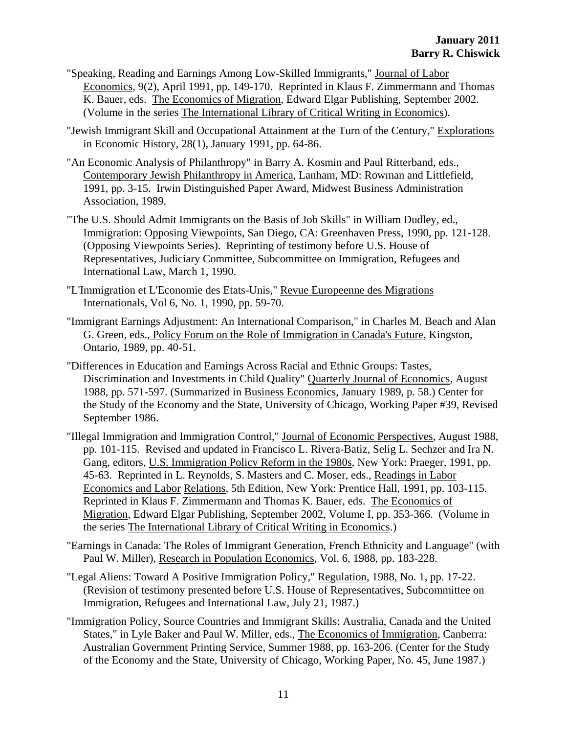- "Speaking, Reading and Earnings Among Low-Skilled Immigrants," Journal of Labor Economics, 9(2), April 1991, pp. 149-170. Reprinted in Klaus F. Zimmermann and Thomas K. Bauer, eds. The Economics of Migration, Edward Elgar Publishing, September 2002. (Volume in the series The International Library of Critical Writing in Economics).
- "Jewish Immigrant Skill and Occupational Attainment at the Turn of the Century," Explorations in Economic History, 28(1), January 1991, pp. 64-86.
- "An Economic Analysis of Philanthropy" in Barry A. Kosmin and Paul Ritterband, eds., Contemporary Jewish Philanthropy in America, Lanham, MD: Rowman and Littlefield, 1991, pp. 3-15. Irwin Distinguished Paper Award, Midwest Business Administration Association, 1989.
- "The U.S. Should Admit Immigrants on the Basis of Job Skills" in William Dudley, ed., Immigration: Opposing Viewpoints, San Diego, CA: Greenhaven Press, 1990, pp. 121-128. (Opposing Viewpoints Series). Reprinting of testimony before U.S. House of Representatives, Judiciary Committee, Subcommittee on Immigration, Refugees and International Law, March 1, 1990.
- "L'Immigration et L'Economie des Etats-Unis," Revue Europeenne des Migrations Internationals, Vol 6, No. 1, 1990, pp. 59-70.
- "Immigrant Earnings Adjustment: An International Comparison," in Charles M. Beach and Alan G. Green, eds., Policy Forum on the Role of Immigration in Canada's Future, Kingston, Ontario, 1989, pp. 40-51.
- "Differences in Education and Earnings Across Racial and Ethnic Groups: Tastes, Discrimination and Investments in Child Quality" Quarterly Journal of Economics, August 1988, pp. 571-597. (Summarized in Business Economics, January 1989, p. 58.) Center for the Study of the Economy and the State, University of Chicago, Working Paper #39, Revised September 1986.
- "Illegal Immigration and Immigration Control," Journal of Economic Perspectives, August 1988, pp. 101-115. Revised and updated in Francisco L. Rivera-Batiz, Selig L. Sechzer and Ira N. Gang, editors, U.S. Immigration Policy Reform in the 1980s, New York: Praeger, 1991, pp. 45-63. Reprinted in L. Reynolds, S. Masters and C. Moser, eds., Readings in Labor Economics and Labor Relations, 5th Edition, New York: Prentice Hall, 1991, pp. 103-115. Reprinted in Klaus F. Zimmermann and Thomas K. Bauer, eds. The Economics of Migration, Edward Elgar Publishing, September 2002, Volume I, pp. 353-366. (Volume in the series The International Library of Critical Writing in Economics.)
- "Earnings in Canada: The Roles of Immigrant Generation, French Ethnicity and Language" (with Paul W. Miller), Research in Population Economics, Vol. 6, 1988, pp. 183-228.
- "Legal Aliens: Toward A Positive Immigration Policy," Regulation, 1988, No. 1, pp. 17-22. (Revision of testimony presented before U.S. House of Representatives, Subcommittee on Immigration, Refugees and International Law, July 21, 1987.)
- "Immigration Policy, Source Countries and Immigrant Skills: Australia, Canada and the United States," in Lyle Baker and Paul W. Miller, eds., The Economics of Immigration, Canberra: Australian Government Printing Service, Summer 1988, pp. 163-206. (Center for the Study of the Economy and the State, University of Chicago, Working Paper, No. 45, June 1987.)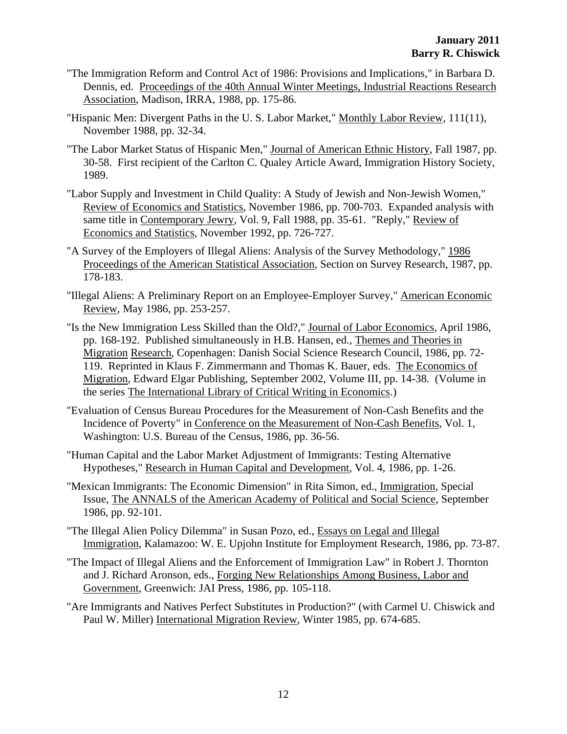- "The Immigration Reform and Control Act of 1986: Provisions and Implications," in Barbara D. Dennis, ed. Proceedings of the 40th Annual Winter Meetings, Industrial Reactions Research Association, Madison, IRRA, 1988, pp. 175-86.
- "Hispanic Men: Divergent Paths in the U. S. Labor Market," Monthly Labor Review, 111(11), November 1988, pp. 32-34.
- "The Labor Market Status of Hispanic Men," Journal of American Ethnic History, Fall 1987, pp. 30-58. First recipient of the Carlton C. Qualey Article Award, Immigration History Society, 1989.
- "Labor Supply and Investment in Child Quality: A Study of Jewish and Non-Jewish Women," Review of Economics and Statistics, November 1986, pp. 700-703. Expanded analysis with same title in Contemporary Jewry, Vol. 9, Fall 1988, pp. 35-61. "Reply," Review of Economics and Statistics, November 1992, pp. 726-727.
- "A Survey of the Employers of Illegal Aliens: Analysis of the Survey Methodology," 1986 Proceedings of the American Statistical Association, Section on Survey Research, 1987, pp. 178-183.
- "Illegal Aliens: A Preliminary Report on an Employee-Employer Survey," American Economic Review, May 1986, pp. 253-257.
- "Is the New Immigration Less Skilled than the Old?," Journal of Labor Economics, April 1986, pp. 168-192. Published simultaneously in H.B. Hansen, ed., Themes and Theories in Migration Research, Copenhagen: Danish Social Science Research Council, 1986, pp. 72- 119. Reprinted in Klaus F. Zimmermann and Thomas K. Bauer, eds. The Economics of Migration, Edward Elgar Publishing, September 2002, Volume III, pp. 14-38. (Volume in the series The International Library of Critical Writing in Economics.)
- "Evaluation of Census Bureau Procedures for the Measurement of Non-Cash Benefits and the Incidence of Poverty" in Conference on the Measurement of Non-Cash Benefits, Vol. 1, Washington: U.S. Bureau of the Census, 1986, pp. 36-56.
- "Human Capital and the Labor Market Adjustment of Immigrants: Testing Alternative Hypotheses," Research in Human Capital and Development, Vol. 4, 1986, pp. 1-26.
- "Mexican Immigrants: The Economic Dimension" in Rita Simon, ed., Immigration, Special Issue, The ANNALS of the American Academy of Political and Social Science, September 1986, pp. 92-101.
- "The Illegal Alien Policy Dilemma" in Susan Pozo, ed., Essays on Legal and Illegal Immigration, Kalamazoo: W. E. Upjohn Institute for Employment Research, 1986, pp. 73-87.
- "The Impact of Illegal Aliens and the Enforcement of Immigration Law" in Robert J. Thornton and J. Richard Aronson, eds., Forging New Relationships Among Business, Labor and Government, Greenwich: JAI Press, 1986, pp. 105-118.
- "Are Immigrants and Natives Perfect Substitutes in Production?" (with Carmel U. Chiswick and Paul W. Miller) International Migration Review, Winter 1985, pp. 674-685.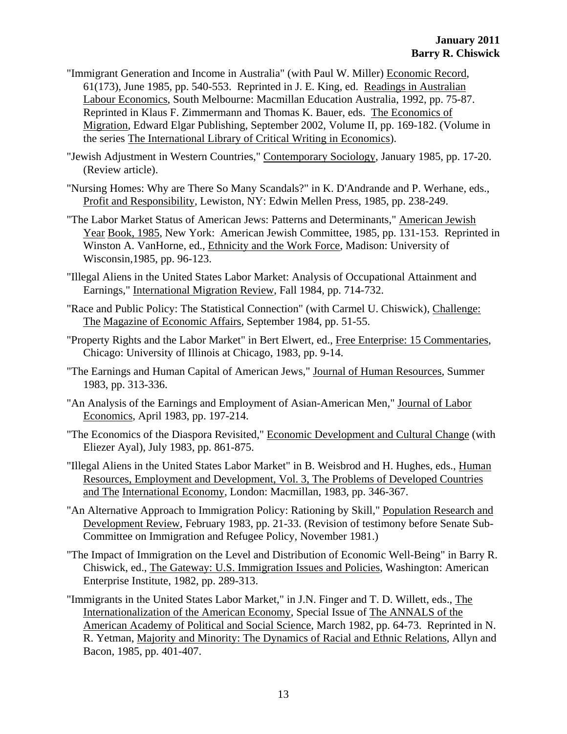- "Immigrant Generation and Income in Australia" (with Paul W. Miller) Economic Record, 61(173), June 1985, pp. 540-553. Reprinted in J. E. King, ed. Readings in Australian Labour Economics, South Melbourne: Macmillan Education Australia, 1992, pp. 75-87. Reprinted in Klaus F. Zimmermann and Thomas K. Bauer, eds. The Economics of Migration, Edward Elgar Publishing, September 2002, Volume II, pp. 169-182. (Volume in the series The International Library of Critical Writing in Economics).
- "Jewish Adjustment in Western Countries," Contemporary Sociology, January 1985, pp. 17-20. (Review article).
- "Nursing Homes: Why are There So Many Scandals?" in K. D'Andrande and P. Werhane, eds., Profit and Responsibility, Lewiston, NY: Edwin Mellen Press, 1985, pp. 238-249.
- "The Labor Market Status of American Jews: Patterns and Determinants," American Jewish Year Book, 1985, New York: American Jewish Committee, 1985, pp. 131-153. Reprinted in Winston A. VanHorne, ed., Ethnicity and the Work Force, Madison: University of Wisconsin,1985, pp. 96-123.
- "Illegal Aliens in the United States Labor Market: Analysis of Occupational Attainment and Earnings," International Migration Review, Fall 1984, pp. 714-732.
- "Race and Public Policy: The Statistical Connection" (with Carmel U. Chiswick), Challenge: The Magazine of Economic Affairs, September 1984, pp. 51-55.
- "Property Rights and the Labor Market" in Bert Elwert, ed., Free Enterprise: 15 Commentaries, Chicago: University of Illinois at Chicago, 1983, pp. 9-14.
- "The Earnings and Human Capital of American Jews," Journal of Human Resources, Summer 1983, pp. 313-336.
- "An Analysis of the Earnings and Employment of Asian-American Men," Journal of Labor Economics, April 1983, pp. 197-214.
- "The Economics of the Diaspora Revisited," Economic Development and Cultural Change (with Eliezer Ayal), July 1983, pp. 861-875.
- "Illegal Aliens in the United States Labor Market" in B. Weisbrod and H. Hughes, eds., Human Resources, Employment and Development, Vol. 3, The Problems of Developed Countries and The International Economy, London: Macmillan, 1983, pp. 346-367.
- "An Alternative Approach to Immigration Policy: Rationing by Skill," Population Research and Development Review, February 1983, pp. 21-33. (Revision of testimony before Senate Sub-Committee on Immigration and Refugee Policy, November 1981.)
- "The Impact of Immigration on the Level and Distribution of Economic Well-Being" in Barry R. Chiswick, ed., The Gateway: U.S. Immigration Issues and Policies, Washington: American Enterprise Institute, 1982, pp. 289-313.
- "Immigrants in the United States Labor Market," in J.N. Finger and T. D. Willett, eds., The Internationalization of the American Economy, Special Issue of The ANNALS of the American Academy of Political and Social Science, March 1982, pp. 64-73. Reprinted in N. R. Yetman, Majority and Minority: The Dynamics of Racial and Ethnic Relations, Allyn and Bacon, 1985, pp. 401-407.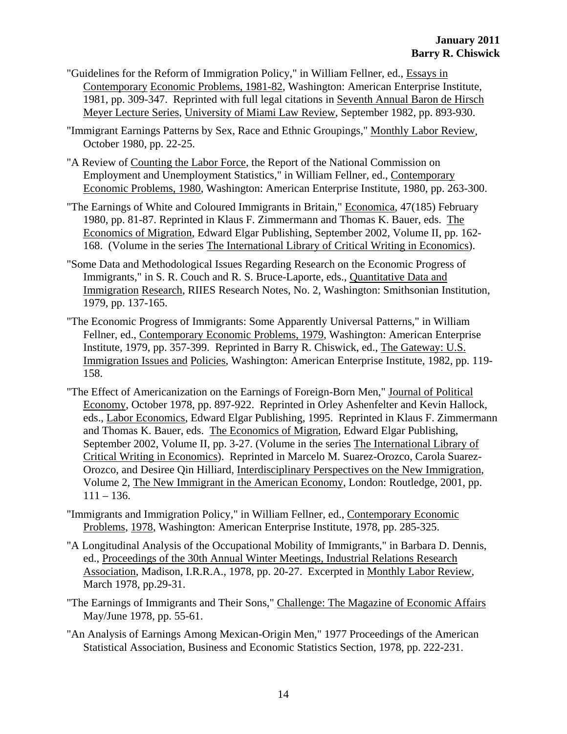- "Guidelines for the Reform of Immigration Policy," in William Fellner, ed., Essays in Contemporary Economic Problems, 1981-82, Washington: American Enterprise Institute, 1981, pp. 309-347. Reprinted with full legal citations in Seventh Annual Baron de Hirsch Meyer Lecture Series, University of Miami Law Review, September 1982, pp. 893-930.
- "Immigrant Earnings Patterns by Sex, Race and Ethnic Groupings," Monthly Labor Review, October 1980, pp. 22-25.
- "A Review of Counting the Labor Force, the Report of the National Commission on Employment and Unemployment Statistics," in William Fellner, ed., Contemporary Economic Problems, 1980, Washington: American Enterprise Institute, 1980, pp. 263-300.
- "The Earnings of White and Coloured Immigrants in Britain," Economica, 47(185) February 1980, pp. 81-87. Reprinted in Klaus F. Zimmermann and Thomas K. Bauer, eds. The Economics of Migration, Edward Elgar Publishing, September 2002, Volume II, pp. 162- 168. (Volume in the series The International Library of Critical Writing in Economics).
- "Some Data and Methodological Issues Regarding Research on the Economic Progress of Immigrants," in S. R. Couch and R. S. Bruce-Laporte, eds., Quantitative Data and Immigration Research, RIIES Research Notes, No. 2, Washington: Smithsonian Institution, 1979, pp. 137-165.
- "The Economic Progress of Immigrants: Some Apparently Universal Patterns," in William Fellner, ed., Contemporary Economic Problems, 1979, Washington: American Enterprise Institute, 1979, pp. 357-399. Reprinted in Barry R. Chiswick, ed., The Gateway: U.S. Immigration Issues and Policies, Washington: American Enterprise Institute, 1982, pp. 119- 158.
- "The Effect of Americanization on the Earnings of Foreign-Born Men," Journal of Political Economy, October 1978, pp. 897-922. Reprinted in Orley Ashenfelter and Kevin Hallock, eds., Labor Economics, Edward Elgar Publishing, 1995. Reprinted in Klaus F. Zimmermann and Thomas K. Bauer, eds. The Economics of Migration, Edward Elgar Publishing, September 2002, Volume II, pp. 3-27. (Volume in the series The International Library of Critical Writing in Economics). Reprinted in Marcelo M. Suarez-Orozco, Carola Suarez-Orozco, and Desiree Qin Hilliard, Interdisciplinary Perspectives on the New Immigration, Volume 2, The New Immigrant in the American Economy, London: Routledge, 2001, pp.  $111 - 136.$
- "Immigrants and Immigration Policy," in William Fellner, ed., Contemporary Economic Problems, 1978, Washington: American Enterprise Institute, 1978, pp. 285-325.
- "A Longitudinal Analysis of the Occupational Mobility of Immigrants," in Barbara D. Dennis, ed., Proceedings of the 30th Annual Winter Meetings, Industrial Relations Research Association, Madison, I.R.R.A., 1978, pp. 20-27. Excerpted in Monthly Labor Review, March 1978, pp.29-31.
- "The Earnings of Immigrants and Their Sons," Challenge: The Magazine of Economic Affairs May/June 1978, pp. 55-61.
- "An Analysis of Earnings Among Mexican-Origin Men," 1977 Proceedings of the American Statistical Association, Business and Economic Statistics Section, 1978, pp. 222-231.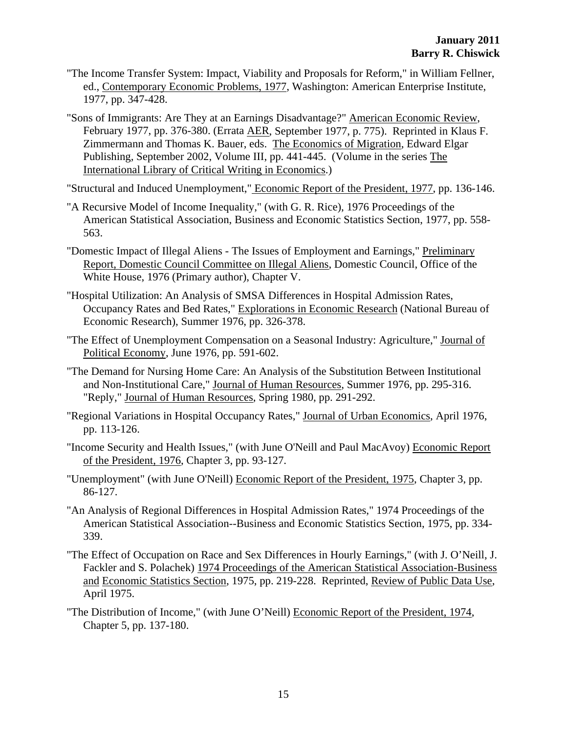- "The Income Transfer System: Impact, Viability and Proposals for Reform," in William Fellner, ed., Contemporary Economic Problems, 1977, Washington: American Enterprise Institute, 1977, pp. 347-428.
- "Sons of Immigrants: Are They at an Earnings Disadvantage?" American Economic Review, February 1977, pp. 376-380. (Errata AER, September 1977, p. 775). Reprinted in Klaus F. Zimmermann and Thomas K. Bauer, eds. The Economics of Migration, Edward Elgar Publishing, September 2002, Volume III, pp. 441-445. (Volume in the series The International Library of Critical Writing in Economics.)
- "Structural and Induced Unemployment," Economic Report of the President, 1977, pp. 136-146.
- "A Recursive Model of Income Inequality," (with G. R. Rice), 1976 Proceedings of the American Statistical Association, Business and Economic Statistics Section, 1977, pp. 558- 563.
- "Domestic Impact of Illegal Aliens The Issues of Employment and Earnings," Preliminary Report, Domestic Council Committee on Illegal Aliens, Domestic Council, Office of the White House, 1976 (Primary author), Chapter V.
- "Hospital Utilization: An Analysis of SMSA Differences in Hospital Admission Rates, Occupancy Rates and Bed Rates," Explorations in Economic Research (National Bureau of Economic Research), Summer 1976, pp. 326-378.
- "The Effect of Unemployment Compensation on a Seasonal Industry: Agriculture," Journal of Political Economy, June 1976, pp. 591-602.
- "The Demand for Nursing Home Care: An Analysis of the Substitution Between Institutional and Non-Institutional Care," Journal of Human Resources, Summer 1976, pp. 295-316. "Reply," Journal of Human Resources, Spring 1980, pp. 291-292.
- "Regional Variations in Hospital Occupancy Rates," Journal of Urban Economics, April 1976, pp. 113-126.
- "Income Security and Health Issues," (with June O'Neill and Paul MacAvoy) Economic Report of the President, 1976, Chapter 3, pp. 93-127.
- "Unemployment" (with June O'Neill) Economic Report of the President, 1975, Chapter 3, pp. 86-127.
- "An Analysis of Regional Differences in Hospital Admission Rates," 1974 Proceedings of the American Statistical Association--Business and Economic Statistics Section, 1975, pp. 334- 339.
- "The Effect of Occupation on Race and Sex Differences in Hourly Earnings," (with J. O'Neill, J. Fackler and S. Polachek) 1974 Proceedings of the American Statistical Association-Business and Economic Statistics Section, 1975, pp. 219-228. Reprinted, Review of Public Data Use, April 1975.
- "The Distribution of Income," (with June O'Neill) Economic Report of the President, 1974, Chapter 5, pp. 137-180.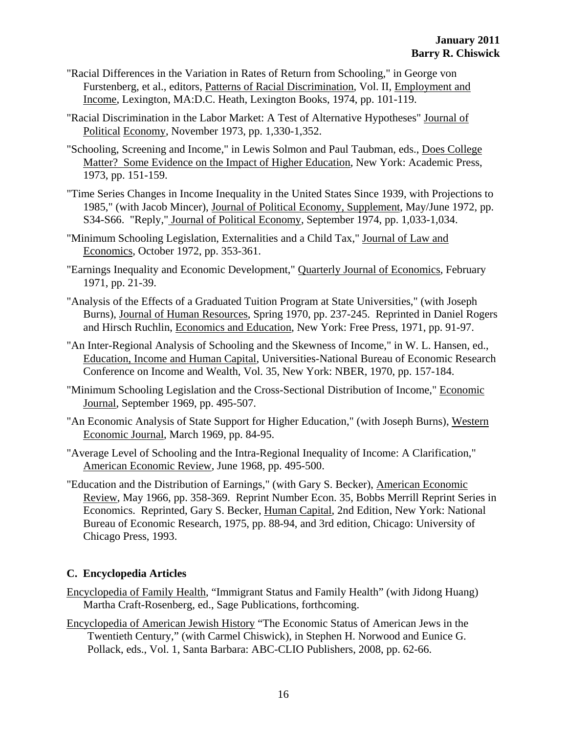- "Racial Differences in the Variation in Rates of Return from Schooling," in George von Furstenberg, et al., editors, Patterns of Racial Discrimination, Vol. II, Employment and Income, Lexington, MA:D.C. Heath, Lexington Books, 1974, pp. 101-119.
- "Racial Discrimination in the Labor Market: A Test of Alternative Hypotheses" Journal of Political Economy, November 1973, pp. 1,330-1,352.
- "Schooling, Screening and Income," in Lewis Solmon and Paul Taubman, eds., Does College Matter? Some Evidence on the Impact of Higher Education, New York: Academic Press, 1973, pp. 151-159.
- "Time Series Changes in Income Inequality in the United States Since 1939, with Projections to 1985," (with Jacob Mincer), Journal of Political Economy, Supplement, May/June 1972, pp. S34-S66. "Reply," Journal of Political Economy, September 1974, pp. 1,033-1,034.
- "Minimum Schooling Legislation, Externalities and a Child Tax," Journal of Law and Economics, October 1972, pp. 353-361.
- "Earnings Inequality and Economic Development," Quarterly Journal of Economics, February 1971, pp. 21-39.
- "Analysis of the Effects of a Graduated Tuition Program at State Universities," (with Joseph Burns), Journal of Human Resources, Spring 1970, pp. 237-245. Reprinted in Daniel Rogers and Hirsch Ruchlin, Economics and Education, New York: Free Press, 1971, pp. 91-97.
- "An Inter-Regional Analysis of Schooling and the Skewness of Income," in W. L. Hansen, ed., Education, Income and Human Capital, Universities-National Bureau of Economic Research Conference on Income and Wealth, Vol. 35, New York: NBER, 1970, pp. 157-184.
- "Minimum Schooling Legislation and the Cross-Sectional Distribution of Income," Economic Journal, September 1969, pp. 495-507.
- "An Economic Analysis of State Support for Higher Education," (with Joseph Burns), Western Economic Journal, March 1969, pp. 84-95.
- "Average Level of Schooling and the Intra-Regional Inequality of Income: A Clarification," American Economic Review, June 1968, pp. 495-500.
- "Education and the Distribution of Earnings," (with Gary S. Becker), American Economic Review, May 1966, pp. 358-369. Reprint Number Econ. 35, Bobbs Merrill Reprint Series in Economics. Reprinted, Gary S. Becker, Human Capital, 2nd Edition, New York: National Bureau of Economic Research, 1975, pp. 88-94, and 3rd edition, Chicago: University of Chicago Press, 1993.

# **C. Encyclopedia Articles**

- Encyclopedia of Family Health, "Immigrant Status and Family Health" (with Jidong Huang) Martha Craft-Rosenberg, ed., Sage Publications, forthcoming.
- Encyclopedia of American Jewish History "The Economic Status of American Jews in the Twentieth Century," (with Carmel Chiswick), in Stephen H. Norwood and Eunice G. Pollack, eds., Vol. 1, Santa Barbara: ABC-CLIO Publishers, 2008, pp. 62-66.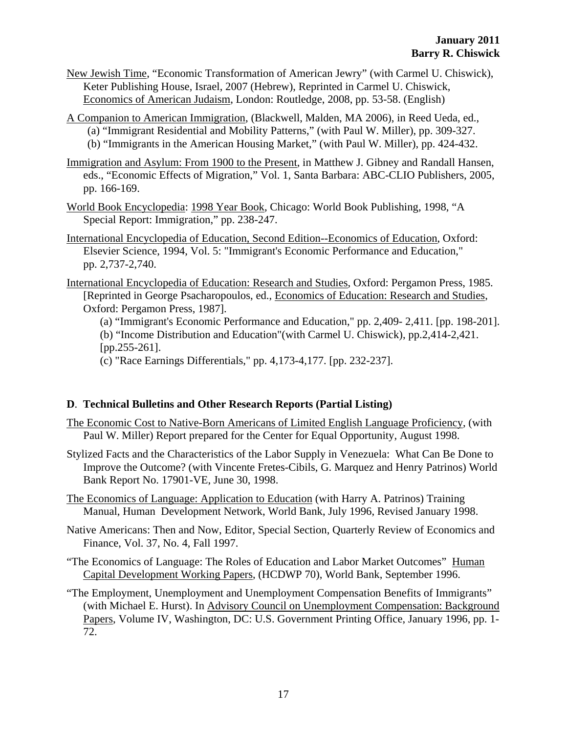- New Jewish Time, "Economic Transformation of American Jewry" (with Carmel U. Chiswick), Keter Publishing House, Israel, 2007 (Hebrew), Reprinted in Carmel U. Chiswick, Economics of American Judaism, London: Routledge, 2008, pp. 53-58. (English)
- A Companion to American Immigration, (Blackwell, Malden, MA 2006), in Reed Ueda, ed.,
	- (a) "Immigrant Residential and Mobility Patterns," (with Paul W. Miller), pp. 309-327.
	- (b) "Immigrants in the American Housing Market," (with Paul W. Miller), pp. 424-432.
- Immigration and Asylum: From 1900 to the Present, in Matthew J. Gibney and Randall Hansen, eds., "Economic Effects of Migration," Vol. 1, Santa Barbara: ABC-CLIO Publishers, 2005, pp. 166-169.
- World Book Encyclopedia: 1998 Year Book, Chicago: World Book Publishing, 1998, "A Special Report: Immigration," pp. 238-247.
- International Encyclopedia of Education, Second Edition--Economics of Education, Oxford: Elsevier Science, 1994, Vol. 5: "Immigrant's Economic Performance and Education," pp. 2,737-2,740.
- International Encyclopedia of Education: Research and Studies, Oxford: Pergamon Press, 1985. [Reprinted in George Psacharopoulos, ed., Economics of Education: Research and Studies, Oxford: Pergamon Press, 1987].
	- (a) "Immigrant's Economic Performance and Education," pp. 2,409- 2,411. [pp. 198-201]. (b) "Income Distribution and Education"(with Carmel U. Chiswick), pp.2,414-2,421. [pp.255-261].
	- (c) "Race Earnings Differentials," pp. 4,173-4,177. [pp. 232-237].

# **D**. **Technical Bulletins and Other Research Reports (Partial Listing)**

- The Economic Cost to Native-Born Americans of Limited English Language Proficiency, (with Paul W. Miller) Report prepared for the Center for Equal Opportunity, August 1998.
- Stylized Facts and the Characteristics of the Labor Supply in Venezuela: What Can Be Done to Improve the Outcome? (with Vincente Fretes-Cibils, G. Marquez and Henry Patrinos) World Bank Report No. 17901-VE, June 30, 1998.
- The Economics of Language: Application to Education (with Harry A. Patrinos) Training Manual, Human Development Network, World Bank, July 1996, Revised January 1998.
- Native Americans: Then and Now, Editor, Special Section, Quarterly Review of Economics and Finance, Vol. 37, No. 4, Fall 1997.
- "The Economics of Language: The Roles of Education and Labor Market Outcomes" Human Capital Development Working Papers, (HCDWP 70), World Bank, September 1996.
- "The Employment, Unemployment and Unemployment Compensation Benefits of Immigrants" (with Michael E. Hurst). In Advisory Council on Unemployment Compensation: Background Papers, Volume IV, Washington, DC: U.S. Government Printing Office, January 1996, pp. 1- 72.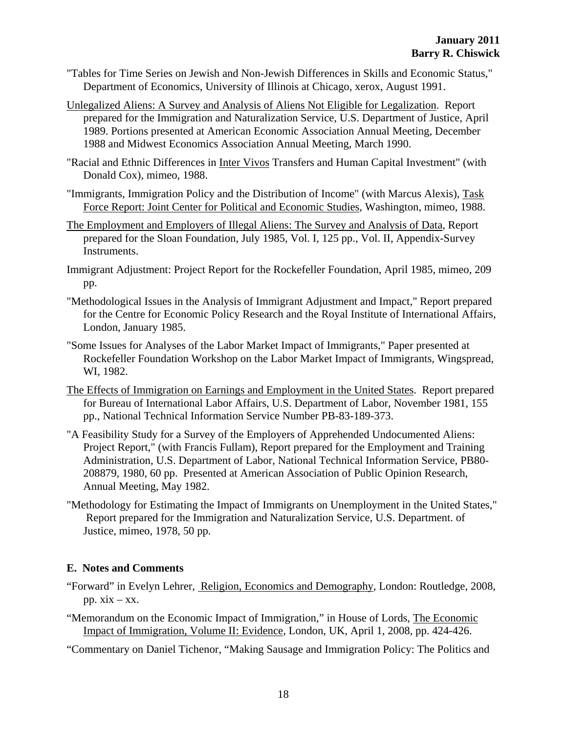- "Tables for Time Series on Jewish and Non-Jewish Differences in Skills and Economic Status," Department of Economics, University of Illinois at Chicago, xerox, August 1991.
- Unlegalized Aliens: A Survey and Analysis of Aliens Not Eligible for Legalization. Report prepared for the Immigration and Naturalization Service, U.S. Department of Justice, April 1989. Portions presented at American Economic Association Annual Meeting, December 1988 and Midwest Economics Association Annual Meeting, March 1990.
- "Racial and Ethnic Differences in Inter Vivos Transfers and Human Capital Investment" (with Donald Cox), mimeo, 1988.
- "Immigrants, Immigration Policy and the Distribution of Income" (with Marcus Alexis), Task Force Report: Joint Center for Political and Economic Studies, Washington, mimeo, 1988.
- The Employment and Employers of Illegal Aliens: The Survey and Analysis of Data, Report prepared for the Sloan Foundation, July 1985, Vol. I, 125 pp., Vol. II, Appendix-Survey Instruments.
- Immigrant Adjustment: Project Report for the Rockefeller Foundation, April 1985, mimeo, 209 pp.
- "Methodological Issues in the Analysis of Immigrant Adjustment and Impact," Report prepared for the Centre for Economic Policy Research and the Royal Institute of International Affairs, London, January 1985.
- "Some Issues for Analyses of the Labor Market Impact of Immigrants," Paper presented at Rockefeller Foundation Workshop on the Labor Market Impact of Immigrants, Wingspread, WI, 1982.
- The Effects of Immigration on Earnings and Employment in the United States. Report prepared for Bureau of International Labor Affairs, U.S. Department of Labor, November 1981, 155 pp., National Technical Information Service Number PB-83-189-373.
- "A Feasibility Study for a Survey of the Employers of Apprehended Undocumented Aliens: Project Report," (with Francis Fullam), Report prepared for the Employment and Training Administration, U.S. Department of Labor, National Technical Information Service, PB80- 208879, 1980, 60 pp. Presented at American Association of Public Opinion Research, Annual Meeting, May 1982.
- "Methodology for Estimating the Impact of Immigrants on Unemployment in the United States," Report prepared for the Immigration and Naturalization Service, U.S. Department. of Justice, mimeo, 1978, 50 pp.

# **E. Notes and Comments**

- "Forward" in Evelyn Lehrer, Religion, Economics and Demography, London: Routledge, 2008, pp.  $xix - xx$ .
- "Memorandum on the Economic Impact of Immigration," in House of Lords, The Economic Impact of Immigration, Volume II: Evidence, London, UK, April 1, 2008, pp. 424-426.
- "Commentary on Daniel Tichenor, "Making Sausage and Immigration Policy: The Politics and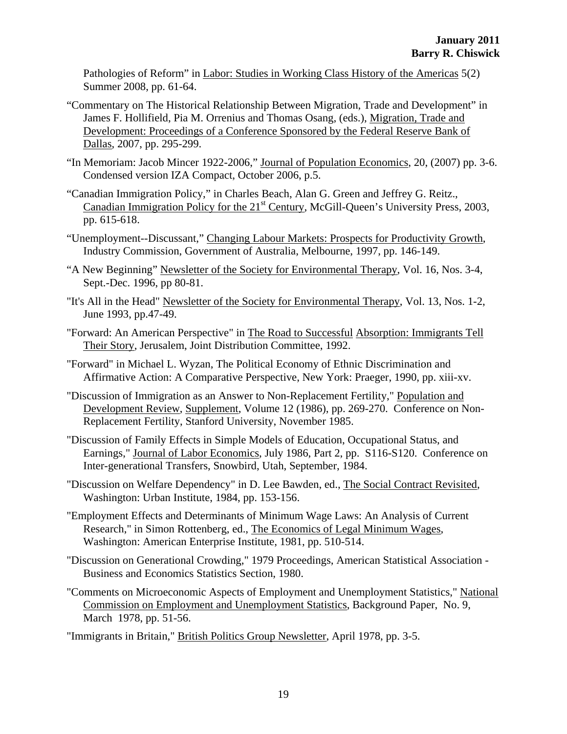Pathologies of Reform" in Labor: Studies in Working Class History of the Americas 5(2) Summer 2008, pp. 61-64.

- "Commentary on The Historical Relationship Between Migration, Trade and Development" in James F. Hollifield, Pia M. Orrenius and Thomas Osang, (eds.), Migration, Trade and Development: Proceedings of a Conference Sponsored by the Federal Reserve Bank of Dallas, 2007, pp. 295-299.
- "In Memoriam: Jacob Mincer 1922-2006," Journal of Population Economics, 20, (2007) pp. 3-6. Condensed version IZA Compact, October 2006, p.5.
- "Canadian Immigration Policy," in Charles Beach, Alan G. Green and Jeffrey G. Reitz., Canadian Immigration Policy for the  $21<sup>st</sup>$  Century, McGill-Queen's University Press, 2003, pp. 615-618.
- "Unemployment--Discussant," Changing Labour Markets: Prospects for Productivity Growth, Industry Commission, Government of Australia, Melbourne, 1997, pp. 146-149.
- "A New Beginning" Newsletter of the Society for Environmental Therapy, Vol. 16, Nos. 3-4, Sept.-Dec. 1996, pp 80-81.
- "It's All in the Head" Newsletter of the Society for Environmental Therapy, Vol. 13, Nos. 1-2, June 1993, pp.47-49.
- "Forward: An American Perspective" in The Road to Successful Absorption: Immigrants Tell Their Story, Jerusalem, Joint Distribution Committee, 1992.
- "Forward" in Michael L. Wyzan, The Political Economy of Ethnic Discrimination and Affirmative Action: A Comparative Perspective, New York: Praeger, 1990, pp. xiii-xv.
- "Discussion of Immigration as an Answer to Non-Replacement Fertility," Population and Development Review, Supplement, Volume 12 (1986), pp. 269-270. Conference on Non-Replacement Fertility, Stanford University, November 1985.
- "Discussion of Family Effects in Simple Models of Education, Occupational Status, and Earnings," Journal of Labor Economics, July 1986, Part 2, pp. S116-S120. Conference on Inter-generational Transfers, Snowbird, Utah, September, 1984.
- "Discussion on Welfare Dependency" in D. Lee Bawden, ed., The Social Contract Revisited, Washington: Urban Institute, 1984, pp. 153-156.
- "Employment Effects and Determinants of Minimum Wage Laws: An Analysis of Current Research," in Simon Rottenberg, ed., The Economics of Legal Minimum Wages, Washington: American Enterprise Institute, 1981, pp. 510-514.
- "Discussion on Generational Crowding," 1979 Proceedings, American Statistical Association Business and Economics Statistics Section, 1980.
- "Comments on Microeconomic Aspects of Employment and Unemployment Statistics," National Commission on Employment and Unemployment Statistics, Background Paper, No. 9, March 1978, pp. 51-56.
- "Immigrants in Britain," British Politics Group Newsletter, April 1978, pp. 3-5.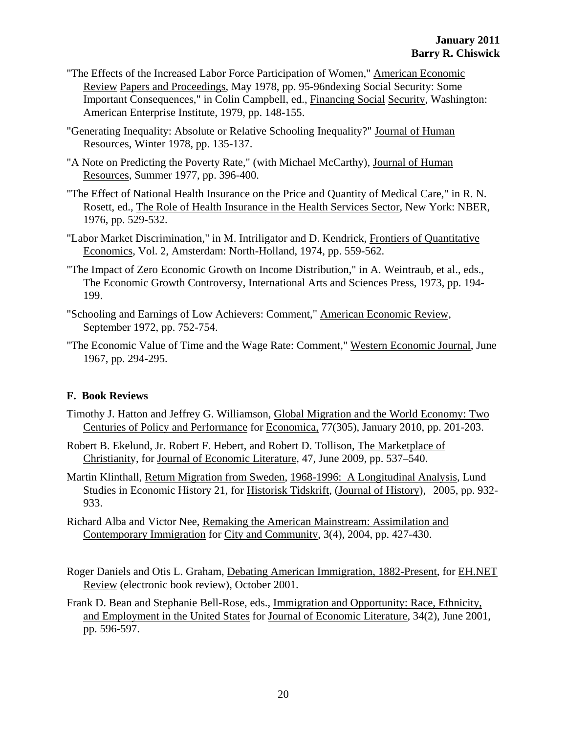- "The Effects of the Increased Labor Force Participation of Women," American Economic Review Papers and Proceedings, May 1978, pp. 95-96ndexing Social Security: Some Important Consequences," in Colin Campbell, ed., Financing Social Security, Washington: American Enterprise Institute, 1979, pp. 148-155.
- "Generating Inequality: Absolute or Relative Schooling Inequality?" Journal of Human Resources, Winter 1978, pp. 135-137.
- "A Note on Predicting the Poverty Rate," (with Michael McCarthy), Journal of Human Resources, Summer 1977, pp. 396-400.
- "The Effect of National Health Insurance on the Price and Quantity of Medical Care," in R. N. Rosett, ed., The Role of Health Insurance in the Health Services Sector, New York: NBER, 1976, pp. 529-532.
- "Labor Market Discrimination," in M. Intriligator and D. Kendrick, Frontiers of Quantitative Economics, Vol. 2, Amsterdam: North-Holland, 1974, pp. 559-562.
- "The Impact of Zero Economic Growth on Income Distribution," in A. Weintraub, et al., eds., The Economic Growth Controversy, International Arts and Sciences Press, 1973, pp. 194- 199.
- "Schooling and Earnings of Low Achievers: Comment," American Economic Review, September 1972, pp. 752-754.
- "The Economic Value of Time and the Wage Rate: Comment," Western Economic Journal, June 1967, pp. 294-295.

## **F. Book Reviews**

- Timothy J. Hatton and Jeffrey G. Williamson, Global Migration and the World Economy: Two Centuries of Policy and Performance for Economica, 77(305), January 2010, pp. 201-203.
- Robert B. Ekelund, Jr. Robert F. Hebert, and Robert D. Tollison, The Marketplace of Christianity, for Journal of Economic Literature, 47, June 2009, pp. 537–540.
- Martin Klinthall, Return Migration from Sweden, 1968-1996: A Longitudinal Analysis, Lund Studies in Economic History 21, for Historisk Tidskrift, (Journal of History), 2005, pp. 932- 933.
- Richard Alba and Victor Nee, Remaking the American Mainstream: Assimilation and Contemporary Immigration for City and Community, 3(4), 2004, pp. 427-430.
- Roger Daniels and Otis L. Graham, Debating American Immigration, 1882-Present, for EH.NET Review (electronic book review), October 2001.
- Frank D. Bean and Stephanie Bell-Rose, eds., Immigration and Opportunity: Race, Ethnicity, and Employment in the United States for Journal of Economic Literature, 34(2), June 2001, pp. 596-597.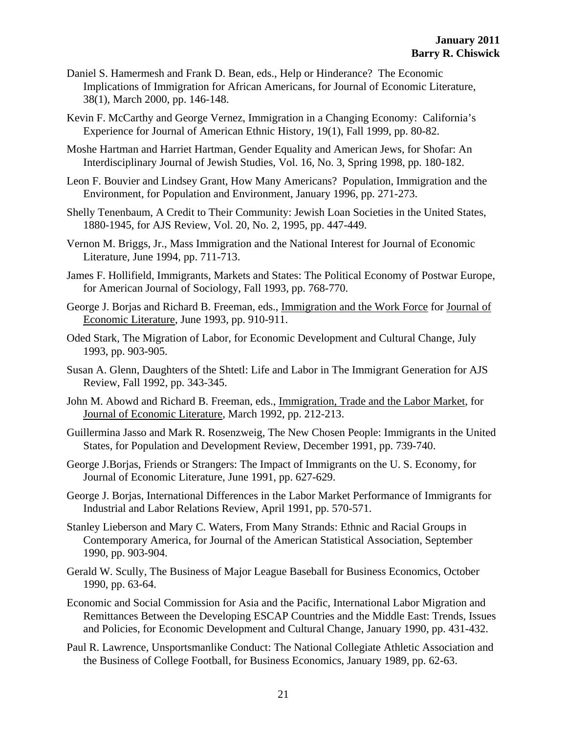- Daniel S. Hamermesh and Frank D. Bean, eds., Help or Hinderance? The Economic Implications of Immigration for African Americans, for Journal of Economic Literature, 38(1), March 2000, pp. 146-148.
- Kevin F. McCarthy and George Vernez, Immigration in a Changing Economy: California's Experience for Journal of American Ethnic History, 19(1), Fall 1999, pp. 80-82.
- Moshe Hartman and Harriet Hartman, Gender Equality and American Jews, for Shofar: An Interdisciplinary Journal of Jewish Studies, Vol. 16, No. 3, Spring 1998, pp. 180-182.
- Leon F. Bouvier and Lindsey Grant, How Many Americans? Population, Immigration and the Environment, for Population and Environment, January 1996, pp. 271-273.
- Shelly Tenenbaum, A Credit to Their Community: Jewish Loan Societies in the United States, 1880-1945, for AJS Review, Vol. 20, No. 2, 1995, pp. 447-449.
- Vernon M. Briggs, Jr., Mass Immigration and the National Interest for Journal of Economic Literature, June 1994, pp. 711-713.
- James F. Hollifield, Immigrants, Markets and States: The Political Economy of Postwar Europe, for American Journal of Sociology, Fall 1993, pp. 768-770.
- George J. Borjas and Richard B. Freeman, eds., Immigration and the Work Force for Journal of Economic Literature, June 1993, pp. 910-911.
- Oded Stark, The Migration of Labor, for Economic Development and Cultural Change, July 1993, pp. 903-905.
- Susan A. Glenn, Daughters of the Shtetl: Life and Labor in The Immigrant Generation for AJS Review, Fall 1992, pp. 343-345.
- John M. Abowd and Richard B. Freeman, eds., Immigration, Trade and the Labor Market, for Journal of Economic Literature, March 1992, pp. 212-213.
- Guillermina Jasso and Mark R. Rosenzweig, The New Chosen People: Immigrants in the United States, for Population and Development Review, December 1991, pp. 739-740.
- George J.Borjas, Friends or Strangers: The Impact of Immigrants on the U. S. Economy, for Journal of Economic Literature, June 1991, pp. 627-629.
- George J. Borjas, International Differences in the Labor Market Performance of Immigrants for Industrial and Labor Relations Review, April 1991, pp. 570-571.
- Stanley Lieberson and Mary C. Waters, From Many Strands: Ethnic and Racial Groups in Contemporary America, for Journal of the American Statistical Association, September 1990, pp. 903-904.
- Gerald W. Scully, The Business of Major League Baseball for Business Economics, October 1990, pp. 63-64.
- Economic and Social Commission for Asia and the Pacific, International Labor Migration and Remittances Between the Developing ESCAP Countries and the Middle East: Trends, Issues and Policies, for Economic Development and Cultural Change, January 1990, pp. 431-432.
- Paul R. Lawrence, Unsportsmanlike Conduct: The National Collegiate Athletic Association and the Business of College Football, for Business Economics, January 1989, pp. 62-63.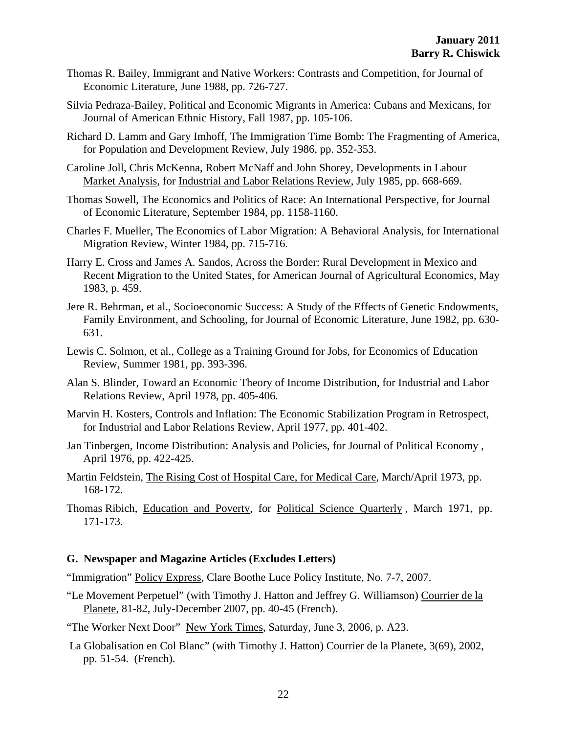- Thomas R. Bailey, Immigrant and Native Workers: Contrasts and Competition, for Journal of Economic Literature, June 1988, pp. 726-727.
- Silvia Pedraza-Bailey, Political and Economic Migrants in America: Cubans and Mexicans, for Journal of American Ethnic History, Fall 1987, pp. 105-106.
- Richard D. Lamm and Gary Imhoff, The Immigration Time Bomb: The Fragmenting of America, for Population and Development Review, July 1986, pp. 352-353.
- Caroline Joll, Chris McKenna, Robert McNaff and John Shorey, Developments in Labour Market Analysis, for Industrial and Labor Relations Review, July 1985, pp. 668-669.
- Thomas Sowell, The Economics and Politics of Race: An International Perspective, for Journal of Economic Literature, September 1984, pp. 1158-1160.
- Charles F. Mueller, The Economics of Labor Migration: A Behavioral Analysis, for International Migration Review, Winter 1984, pp. 715-716.
- Harry E. Cross and James A. Sandos, Across the Border: Rural Development in Mexico and Recent Migration to the United States, for American Journal of Agricultural Economics, May 1983, p. 459.
- Jere R. Behrman, et al., Socioeconomic Success: A Study of the Effects of Genetic Endowments, Family Environment, and Schooling, for Journal of Economic Literature, June 1982, pp. 630- 631.
- Lewis C. Solmon, et al., College as a Training Ground for Jobs, for Economics of Education Review, Summer 1981, pp. 393-396.
- Alan S. Blinder, Toward an Economic Theory of Income Distribution, for Industrial and Labor Relations Review, April 1978, pp. 405-406.
- Marvin H. Kosters, Controls and Inflation: The Economic Stabilization Program in Retrospect, for Industrial and Labor Relations Review, April 1977, pp. 401-402.
- Jan Tinbergen, Income Distribution: Analysis and Policies, for Journal of Political Economy , April 1976, pp. 422-425.
- Martin Feldstein, The Rising Cost of Hospital Care, for Medical Care, March/April 1973, pp. 168-172.
- Thomas Ribich, Education and Poverty, for Political Science Quarterly , March 1971, pp. 171-173.

## **G. Newspaper and Magazine Articles (Excludes Letters)**

"Immigration" Policy Express, Clare Boothe Luce Policy Institute, No. 7-7, 2007.

"Le Movement Perpetuel" (with Timothy J. Hatton and Jeffrey G. Williamson) Courrier de la Planete, 81-82, July-December 2007, pp. 40-45 (French).

"The Worker Next Door" New York Times, Saturday, June 3, 2006, p. A23.

 La Globalisation en Col Blanc" (with Timothy J. Hatton) Courrier de la Planete, 3(69), 2002, pp. 51-54. (French).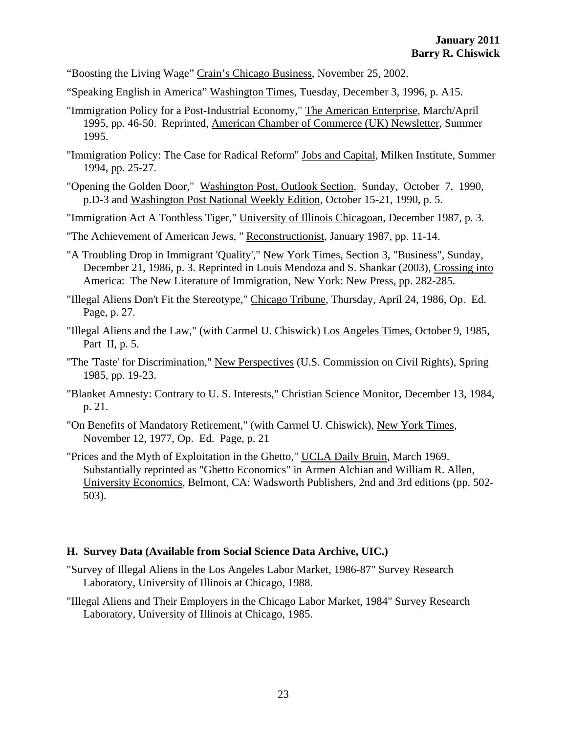"Boosting the Living Wage" Crain's Chicago Business, November 25, 2002.

- "Speaking English in America" Washington Times, Tuesday, December 3, 1996, p. A15.
- "Immigration Policy for a Post-Industrial Economy," The American Enterprise, March/April 1995, pp. 46-50. Reprinted, American Chamber of Commerce (UK) Newsletter, Summer 1995.
- "Immigration Policy: The Case for Radical Reform" Jobs and Capital, Milken Institute, Summer 1994, pp. 25-27.
- "Opening the Golden Door," Washington Post, Outlook Section, Sunday, October 7, 1990, p.D-3 and Washington Post National Weekly Edition, October 15-21, 1990, p. 5.
- "Immigration Act A Toothless Tiger," University of Illinois Chicagoan, December 1987, p. 3.
- "The Achievement of American Jews, " Reconstructionist, January 1987, pp. 11-14.
- "A Troubling Drop in Immigrant 'Quality'," New York Times, Section 3, "Business", Sunday, December 21, 1986, p. 3. Reprinted in Louis Mendoza and S. Shankar (2003), Crossing into America: The New Literature of Immigration, New York: New Press, pp. 282-285.
- "Illegal Aliens Don't Fit the Stereotype," Chicago Tribune, Thursday, April 24, 1986, Op. Ed. Page, p. 27.
- "Illegal Aliens and the Law," (with Carmel U. Chiswick) Los Angeles Times, October 9, 1985, Part II, p. 5.
- "The 'Taste' for Discrimination," New Perspectives (U.S. Commission on Civil Rights), Spring 1985, pp. 19-23.
- "Blanket Amnesty: Contrary to U. S. Interests," Christian Science Monitor, December 13, 1984, p. 21.
- "On Benefits of Mandatory Retirement," (with Carmel U. Chiswick), New York Times, November 12, 1977, Op. Ed. Page, p. 21
- "Prices and the Myth of Exploitation in the Ghetto," UCLA Daily Bruin, March 1969. Substantially reprinted as "Ghetto Economics" in Armen Alchian and William R. Allen, University Economics, Belmont, CA: Wadsworth Publishers, 2nd and 3rd editions (pp. 502- 503).

#### **H. Survey Data (Available from Social Science Data Archive, UIC.)**

- "Survey of Illegal Aliens in the Los Angeles Labor Market, 1986-87" Survey Research Laboratory, University of Illinois at Chicago, 1988.
- "Illegal Aliens and Their Employers in the Chicago Labor Market, 1984" Survey Research Laboratory, University of Illinois at Chicago, 1985.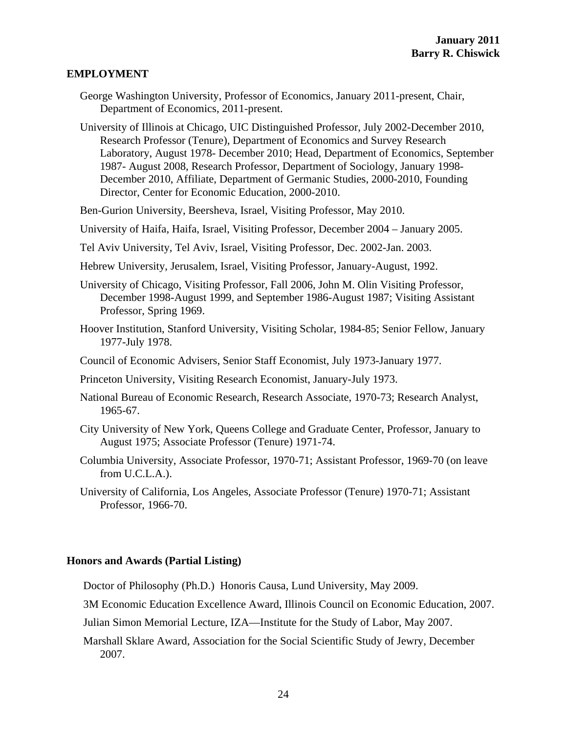#### **EMPLOYMENT**

- George Washington University, Professor of Economics, January 2011-present, Chair, Department of Economics, 2011-present.
- University of Illinois at Chicago, UIC Distinguished Professor, July 2002-December 2010, Research Professor (Tenure), Department of Economics and Survey Research Laboratory, August 1978- December 2010; Head, Department of Economics, September 1987- August 2008, Research Professor, Department of Sociology, January 1998- December 2010, Affiliate, Department of Germanic Studies, 2000-2010, Founding Director, Center for Economic Education, 2000-2010.
- Ben-Gurion University, Beersheva, Israel, Visiting Professor, May 2010.
- University of Haifa, Haifa, Israel, Visiting Professor, December 2004 January 2005.
- Tel Aviv University, Tel Aviv, Israel, Visiting Professor, Dec. 2002-Jan. 2003.
- Hebrew University, Jerusalem, Israel, Visiting Professor, January-August, 1992.
- University of Chicago, Visiting Professor, Fall 2006, John M. Olin Visiting Professor, December 1998-August 1999, and September 1986-August 1987; Visiting Assistant Professor, Spring 1969.
- Hoover Institution, Stanford University, Visiting Scholar, 1984-85; Senior Fellow, January 1977-July 1978.
- Council of Economic Advisers, Senior Staff Economist, July 1973-January 1977.
- Princeton University, Visiting Research Economist, January-July 1973.
- National Bureau of Economic Research, Research Associate, 1970-73; Research Analyst, 1965-67.
- City University of New York, Queens College and Graduate Center, Professor, January to August 1975; Associate Professor (Tenure) 1971-74.
- Columbia University, Associate Professor, 1970-71; Assistant Professor, 1969-70 (on leave from U.C.L.A.).
- University of California, Los Angeles, Associate Professor (Tenure) 1970-71; Assistant Professor, 1966-70.

#### **Honors and Awards (Partial Listing)**

- Doctor of Philosophy (Ph.D.) Honoris Causa, Lund University, May 2009.
- 3M Economic Education Excellence Award, Illinois Council on Economic Education, 2007.
- Julian Simon Memorial Lecture, IZA—Institute for the Study of Labor, May 2007.
- Marshall Sklare Award, Association for the Social Scientific Study of Jewry, December 2007.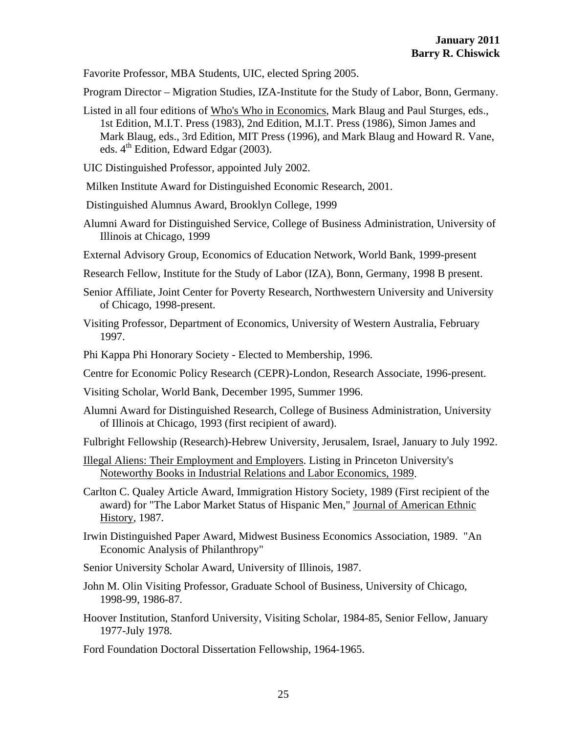Favorite Professor, MBA Students, UIC, elected Spring 2005.

- Program Director Migration Studies, IZA-Institute for the Study of Labor, Bonn, Germany.
- Listed in all four editions of Who's Who in Economics, Mark Blaug and Paul Sturges, eds., 1st Edition, M.I.T. Press (1983), 2nd Edition, M.I.T. Press (1986), Simon James and Mark Blaug, eds., 3rd Edition, MIT Press (1996), and Mark Blaug and Howard R. Vane, eds.  $4<sup>th</sup>$  Edition, Edward Edgar (2003).
- UIC Distinguished Professor, appointed July 2002.
- Milken Institute Award for Distinguished Economic Research, 2001.
- Distinguished Alumnus Award, Brooklyn College, 1999
- Alumni Award for Distinguished Service, College of Business Administration, University of Illinois at Chicago, 1999
- External Advisory Group, Economics of Education Network, World Bank, 1999-present
- Research Fellow, Institute for the Study of Labor (IZA), Bonn, Germany, 1998 B present.
- Senior Affiliate, Joint Center for Poverty Research, Northwestern University and University of Chicago, 1998-present.
- Visiting Professor, Department of Economics, University of Western Australia, February 1997.
- Phi Kappa Phi Honorary Society Elected to Membership, 1996.
- Centre for Economic Policy Research (CEPR)-London, Research Associate, 1996-present.
- Visiting Scholar, World Bank, December 1995, Summer 1996.
- Alumni Award for Distinguished Research, College of Business Administration, University of Illinois at Chicago, 1993 (first recipient of award).
- Fulbright Fellowship (Research)-Hebrew University, Jerusalem, Israel, January to July 1992.
- Illegal Aliens: Their Employment and Employers. Listing in Princeton University's Noteworthy Books in Industrial Relations and Labor Economics, 1989.
- Carlton C. Qualey Article Award, Immigration History Society, 1989 (First recipient of the award) for "The Labor Market Status of Hispanic Men," Journal of American Ethnic History, 1987.
- Irwin Distinguished Paper Award, Midwest Business Economics Association, 1989. "An Economic Analysis of Philanthropy"
- Senior University Scholar Award, University of Illinois, 1987.
- John M. Olin Visiting Professor, Graduate School of Business, University of Chicago, 1998-99, 1986-87.
- Hoover Institution, Stanford University, Visiting Scholar, 1984-85, Senior Fellow, January 1977-July 1978.
- Ford Foundation Doctoral Dissertation Fellowship, 1964-1965.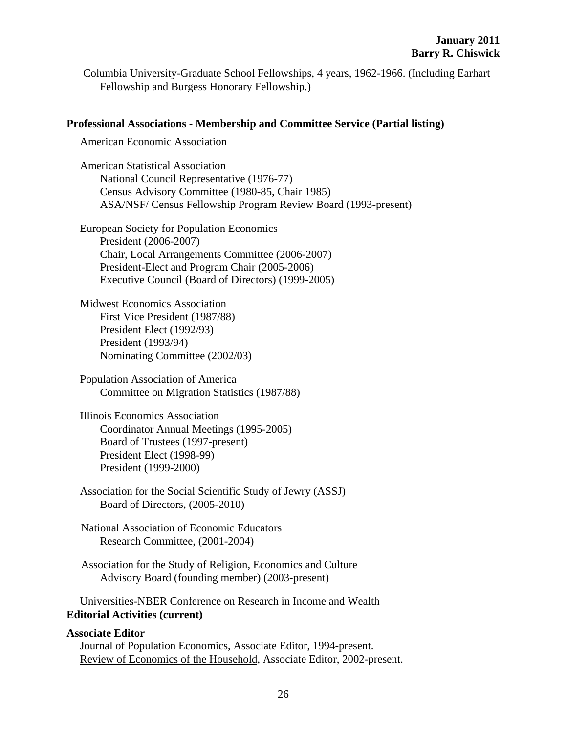Columbia University-Graduate School Fellowships, 4 years, 1962-1966. (Including Earhart Fellowship and Burgess Honorary Fellowship.)

## **Professional Associations - Membership and Committee Service (Partial listing)**

American Economic Association

American Statistical Association National Council Representative (1976-77) Census Advisory Committee (1980-85, Chair 1985) ASA/NSF/ Census Fellowship Program Review Board (1993-present)

European Society for Population Economics President (2006-2007) Chair, Local Arrangements Committee (2006-2007) President-Elect and Program Chair (2005-2006) Executive Council (Board of Directors) (1999-2005)

Midwest Economics Association First Vice President (1987/88) President Elect (1992/93) President (1993/94) Nominating Committee (2002/03)

Population Association of America Committee on Migration Statistics (1987/88)

Illinois Economics Association Coordinator Annual Meetings (1995-2005) Board of Trustees (1997-present) President Elect (1998-99) President (1999-2000)

Association for the Social Scientific Study of Jewry (ASSJ) Board of Directors, (2005-2010)

 National Association of Economic Educators Research Committee, (2001-2004)

 Association for the Study of Religion, Economics and Culture Advisory Board (founding member) (2003-present)

Universities-NBER Conference on Research in Income and Wealth **Editorial Activities (current)** 

## **Associate Editor**

Journal of Population Economics, Associate Editor, 1994-present. Review of Economics of the Household, Associate Editor, 2002-present.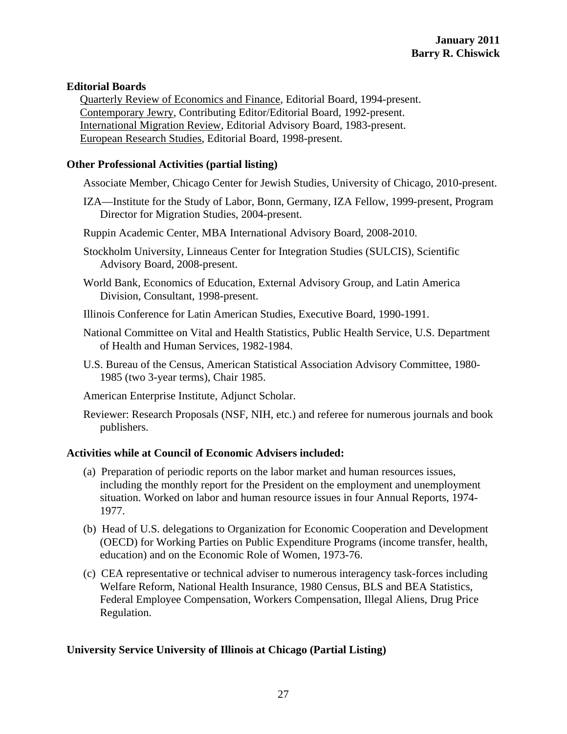## **Editorial Boards**

Quarterly Review of Economics and Finance, Editorial Board, 1994-present. Contemporary Jewry, Contributing Editor/Editorial Board, 1992-present. International Migration Review, Editorial Advisory Board, 1983-present. European Research Studies, Editorial Board, 1998-present.

## **Other Professional Activities (partial listing)**

Associate Member, Chicago Center for Jewish Studies, University of Chicago, 2010-present.

IZA—Institute for the Study of Labor, Bonn, Germany, IZA Fellow, 1999-present, Program Director for Migration Studies, 2004-present.

Ruppin Academic Center, MBA International Advisory Board, 2008-2010.

Stockholm University, Linneaus Center for Integration Studies (SULCIS), Scientific Advisory Board, 2008-present.

World Bank, Economics of Education, External Advisory Group, and Latin America Division, Consultant, 1998-present.

Illinois Conference for Latin American Studies, Executive Board, 1990-1991.

National Committee on Vital and Health Statistics, Public Health Service, U.S. Department of Health and Human Services, 1982-1984.

U.S. Bureau of the Census, American Statistical Association Advisory Committee, 1980- 1985 (two 3-year terms), Chair 1985.

American Enterprise Institute, Adjunct Scholar.

Reviewer: Research Proposals (NSF, NIH, etc.) and referee for numerous journals and book publishers.

# **Activities while at Council of Economic Advisers included:**

- (a) Preparation of periodic reports on the labor market and human resources issues, including the monthly report for the President on the employment and unemployment situation. Worked on labor and human resource issues in four Annual Reports, 1974- 1977.
- (b) Head of U.S. delegations to Organization for Economic Cooperation and Development (OECD) for Working Parties on Public Expenditure Programs (income transfer, health, education) and on the Economic Role of Women, 1973-76.
- (c) CEA representative or technical adviser to numerous interagency task-forces including Welfare Reform, National Health Insurance, 1980 Census, BLS and BEA Statistics, Federal Employee Compensation, Workers Compensation, Illegal Aliens, Drug Price Regulation.

# **University Service University of Illinois at Chicago (Partial Listing)**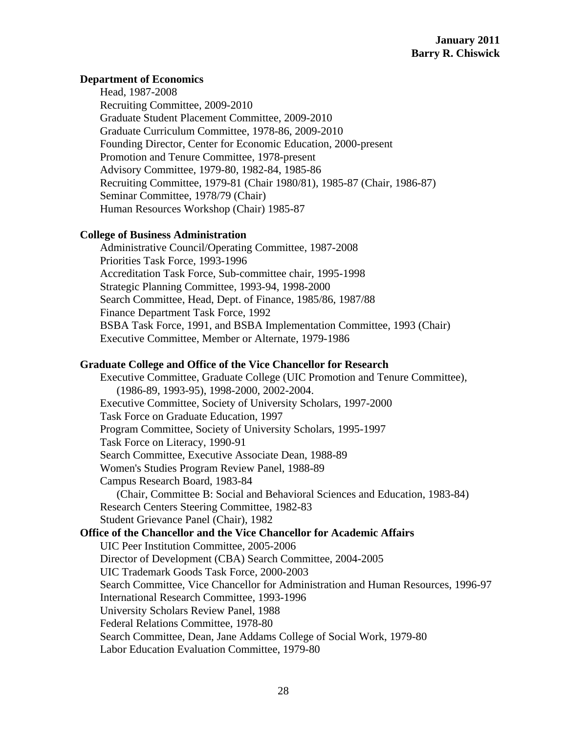## **Department of Economics**

 Head, 1987-2008 Recruiting Committee, 2009-2010 Graduate Student Placement Committee, 2009-2010 Graduate Curriculum Committee, 1978-86, 2009-2010 Founding Director, Center for Economic Education, 2000-present Promotion and Tenure Committee, 1978-present Advisory Committee, 1979-80, 1982-84, 1985-86 Recruiting Committee, 1979-81 (Chair 1980/81), 1985-87 (Chair, 1986-87) Seminar Committee, 1978/79 (Chair) Human Resources Workshop (Chair) 1985-87

## **College of Business Administration**

Administrative Council/Operating Committee, 1987-2008 Priorities Task Force, 1993-1996 Accreditation Task Force, Sub-committee chair, 1995-1998 Strategic Planning Committee, 1993-94, 1998-2000 Search Committee, Head, Dept. of Finance, 1985/86, 1987/88 Finance Department Task Force, 1992 BSBA Task Force, 1991, and BSBA Implementation Committee, 1993 (Chair) Executive Committee, Member or Alternate, 1979-1986

# **Graduate College and Office of the Vice Chancellor for Research**

Executive Committee, Graduate College (UIC Promotion and Tenure Committee), (1986-89, 1993-95), 1998-2000, 2002-2004. Executive Committee, Society of University Scholars, 1997-2000 Task Force on Graduate Education, 1997 Program Committee, Society of University Scholars, 1995-1997 Task Force on Literacy, 1990-91 Search Committee, Executive Associate Dean, 1988-89 Women's Studies Program Review Panel, 1988-89 Campus Research Board, 1983-84 (Chair, Committee B: Social and Behavioral Sciences and Education, 1983-84) Research Centers Steering Committee, 1982-83 Student Grievance Panel (Chair), 1982 **Office of the Chancellor and the Vice Chancellor for Academic Affairs**  UIC Peer Institution Committee, 2005-2006 Director of Development (CBA) Search Committee, 2004-2005 UIC Trademark Goods Task Force, 2000-2003 Search Committee, Vice Chancellor for Administration and Human Resources, 1996-97 International Research Committee, 1993-1996 University Scholars Review Panel, 1988 Federal Relations Committee, 1978-80 Search Committee, Dean, Jane Addams College of Social Work, 1979-80 Labor Education Evaluation Committee, 1979-80